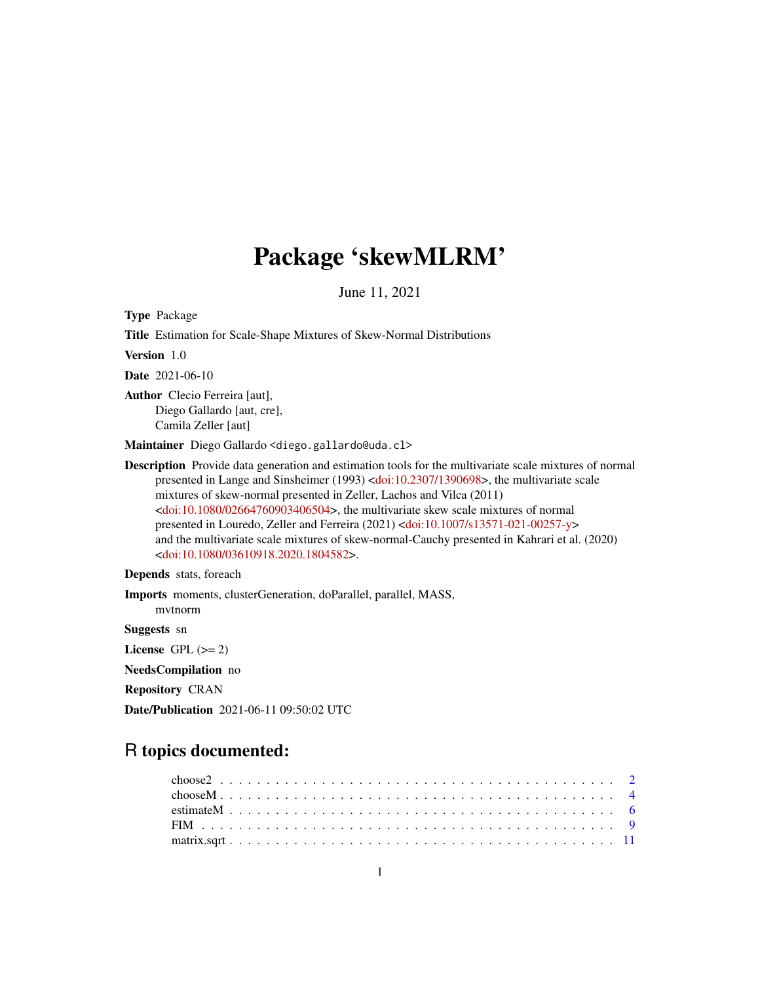# Package 'skewMLRM'

June 11, 2021

<span id="page-0-0"></span>Type Package

Title Estimation for Scale-Shape Mixtures of Skew-Normal Distributions Version 1.0 Date 2021-06-10 Author Clecio Ferreira [aut], Diego Gallardo [aut, cre], Camila Zeller [aut] Maintainer Diego Gallardo <diego.gallardo@uda.cl> Description Provide data generation and estimation tools for the multivariate scale mixtures of normal presented in Lange and Sinsheimer (1993) [<doi:10.2307/1390698>](https://doi.org/10.2307/1390698), the multivariate scale mixtures of skew-normal presented in Zeller, Lachos and Vilca (2011) [<doi:10.1080/02664760903406504>](https://doi.org/10.1080/02664760903406504), the multivariate skew scale mixtures of normal presented in Louredo, Zeller and Ferreira (2021) [<doi:10.1007/s13571-021-00257-y>](https://doi.org/10.1007/s13571-021-00257-y) and the multivariate scale mixtures of skew-normal-Cauchy presented in Kahrari et al. (2020) [<doi:10.1080/03610918.2020.1804582>](https://doi.org/10.1080/03610918.2020.1804582).

Depends stats, foreach

Imports moments, clusterGeneration, doParallel, parallel, MASS, mvtnorm Suggests sn License GPL  $(>= 2)$ NeedsCompilation no Repository CRAN

Date/Publication 2021-06-11 09:50:02 UTC

# R topics documented: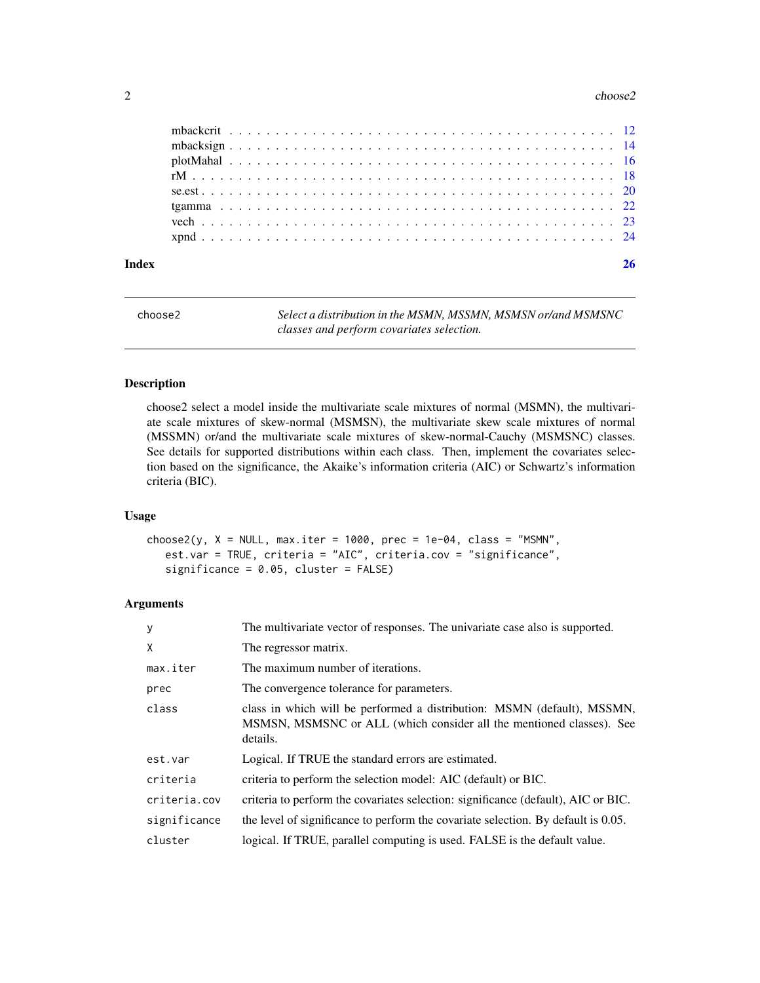#### <span id="page-1-0"></span> $2 \cos 2\theta$

| Index |  |  |  |  |  |  |  |  |  |  |  |  |  |  |  |  |  |  |  |  |  |
|-------|--|--|--|--|--|--|--|--|--|--|--|--|--|--|--|--|--|--|--|--|--|
|       |  |  |  |  |  |  |  |  |  |  |  |  |  |  |  |  |  |  |  |  |  |
|       |  |  |  |  |  |  |  |  |  |  |  |  |  |  |  |  |  |  |  |  |  |
|       |  |  |  |  |  |  |  |  |  |  |  |  |  |  |  |  |  |  |  |  |  |
|       |  |  |  |  |  |  |  |  |  |  |  |  |  |  |  |  |  |  |  |  |  |
|       |  |  |  |  |  |  |  |  |  |  |  |  |  |  |  |  |  |  |  |  |  |
|       |  |  |  |  |  |  |  |  |  |  |  |  |  |  |  |  |  |  |  |  |  |
|       |  |  |  |  |  |  |  |  |  |  |  |  |  |  |  |  |  |  |  |  |  |
|       |  |  |  |  |  |  |  |  |  |  |  |  |  |  |  |  |  |  |  |  |  |
|       |  |  |  |  |  |  |  |  |  |  |  |  |  |  |  |  |  |  |  |  |  |

| choose2 | Select a distribution in the MSMN, MSSMN, MSMSN or/and MSMSNC |
|---------|---------------------------------------------------------------|
|         | classes and perform covariates selection.                     |

# Description

choose2 select a model inside the multivariate scale mixtures of normal (MSMN), the multivariate scale mixtures of skew-normal (MSMSN), the multivariate skew scale mixtures of normal (MSSMN) or/and the multivariate scale mixtures of skew-normal-Cauchy (MSMSNC) classes. See details for supported distributions within each class. Then, implement the covariates selection based on the significance, the Akaike's information criteria (AIC) or Schwartz's information criteria (BIC).

#### Usage

 $choose2(y, X = NULL, max.iter = 1000, prec = 1e-04, class = "MSMN",$ est.var = TRUE, criteria = "AIC", criteria.cov = "significance", significance = 0.05, cluster = FALSE)

# Arguments

| y            | The multivariate vector of responses. The univariate case also is supported.                                                                                |
|--------------|-------------------------------------------------------------------------------------------------------------------------------------------------------------|
| X            | The regressor matrix.                                                                                                                                       |
| max.iter     | The maximum number of iterations.                                                                                                                           |
| prec         | The convergence tolerance for parameters.                                                                                                                   |
| class        | class in which will be performed a distribution: MSMN (default), MSSMN,<br>MSMSN, MSMSNC or ALL (which consider all the mentioned classes). See<br>details. |
| est.var      | Logical. If TRUE the standard errors are estimated.                                                                                                         |
| criteria     | criteria to perform the selection model: AIC (default) or BIC.                                                                                              |
| criteria.cov | criteria to perform the covariates selection: significance (default), AIC or BIC.                                                                           |
| significance | the level of significance to perform the covariate selection. By default is 0.05.                                                                           |
| cluster      | logical. If TRUE, parallel computing is used. FALSE is the default value.                                                                                   |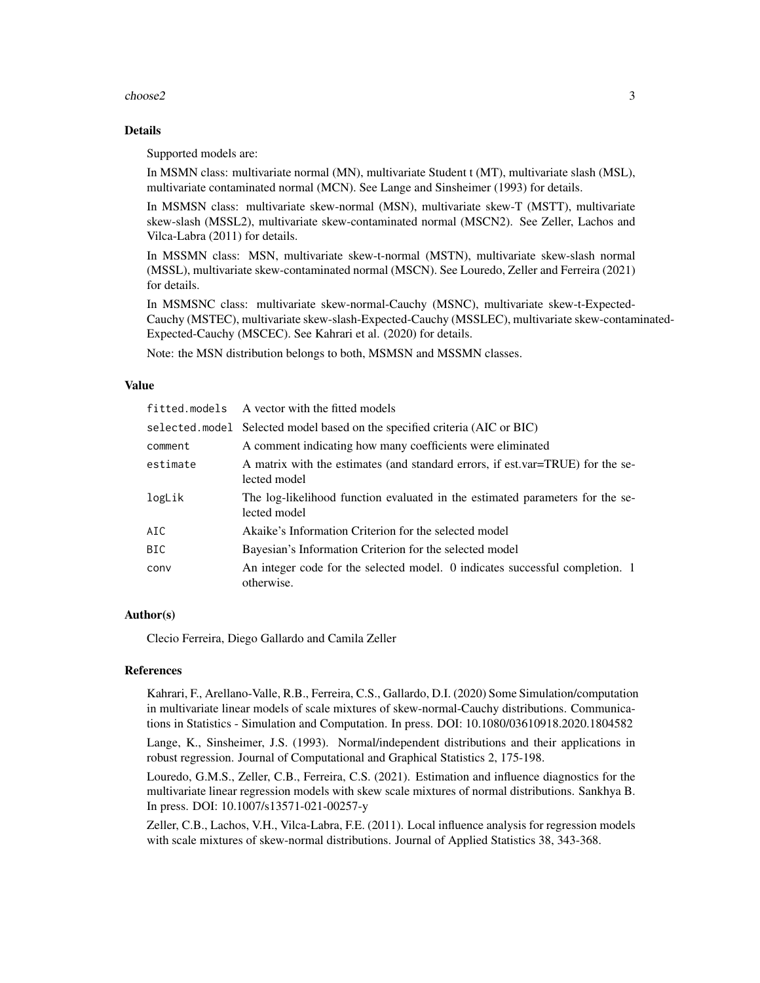#### choose2 3

#### Details

Supported models are:

In MSMN class: multivariate normal (MN), multivariate Student t (MT), multivariate slash (MSL), multivariate contaminated normal (MCN). See Lange and Sinsheimer (1993) for details.

In MSMSN class: multivariate skew-normal (MSN), multivariate skew-T (MSTT), multivariate skew-slash (MSSL2), multivariate skew-contaminated normal (MSCN2). See Zeller, Lachos and Vilca-Labra (2011) for details.

In MSSMN class: MSN, multivariate skew-t-normal (MSTN), multivariate skew-slash normal (MSSL), multivariate skew-contaminated normal (MSCN). See Louredo, Zeller and Ferreira (2021) for details.

In MSMSNC class: multivariate skew-normal-Cauchy (MSNC), multivariate skew-t-Expected-Cauchy (MSTEC), multivariate skew-slash-Expected-Cauchy (MSSLEC), multivariate skew-contaminated-Expected-Cauchy (MSCEC). See Kahrari et al. (2020) for details.

Note: the MSN distribution belongs to both, MSMSN and MSSMN classes.

#### Value

|            | fitted.models A vector with the fitted models                                                  |
|------------|------------------------------------------------------------------------------------------------|
|            | selected.model Selected model based on the specified criteria (AIC or BIC)                     |
| comment    | A comment indicating how many coefficients were eliminated                                     |
| estimate   | A matrix with the estimates (and standard errors, if est.var=TRUE) for the se-<br>lected model |
| logLik     | The log-likelihood function evaluated in the estimated parameters for the se-<br>lected model  |
| AIC        | Akaike's Information Criterion for the selected model                                          |
| <b>BIC</b> | Bayesian's Information Criterion for the selected model                                        |
| conv       | An integer code for the selected model. 0 indicates successful completion. 1<br>otherwise.     |

#### Author(s)

Clecio Ferreira, Diego Gallardo and Camila Zeller

#### References

Kahrari, F., Arellano-Valle, R.B., Ferreira, C.S., Gallardo, D.I. (2020) Some Simulation/computation in multivariate linear models of scale mixtures of skew-normal-Cauchy distributions. Communications in Statistics - Simulation and Computation. In press. DOI: 10.1080/03610918.2020.1804582

Lange, K., Sinsheimer, J.S. (1993). Normal/independent distributions and their applications in robust regression. Journal of Computational and Graphical Statistics 2, 175-198.

Louredo, G.M.S., Zeller, C.B., Ferreira, C.S. (2021). Estimation and influence diagnostics for the multivariate linear regression models with skew scale mixtures of normal distributions. Sankhya B. In press. DOI: 10.1007/s13571-021-00257-y

Zeller, C.B., Lachos, V.H., Vilca-Labra, F.E. (2011). Local influence analysis for regression models with scale mixtures of skew-normal distributions. Journal of Applied Statistics 38, 343-368.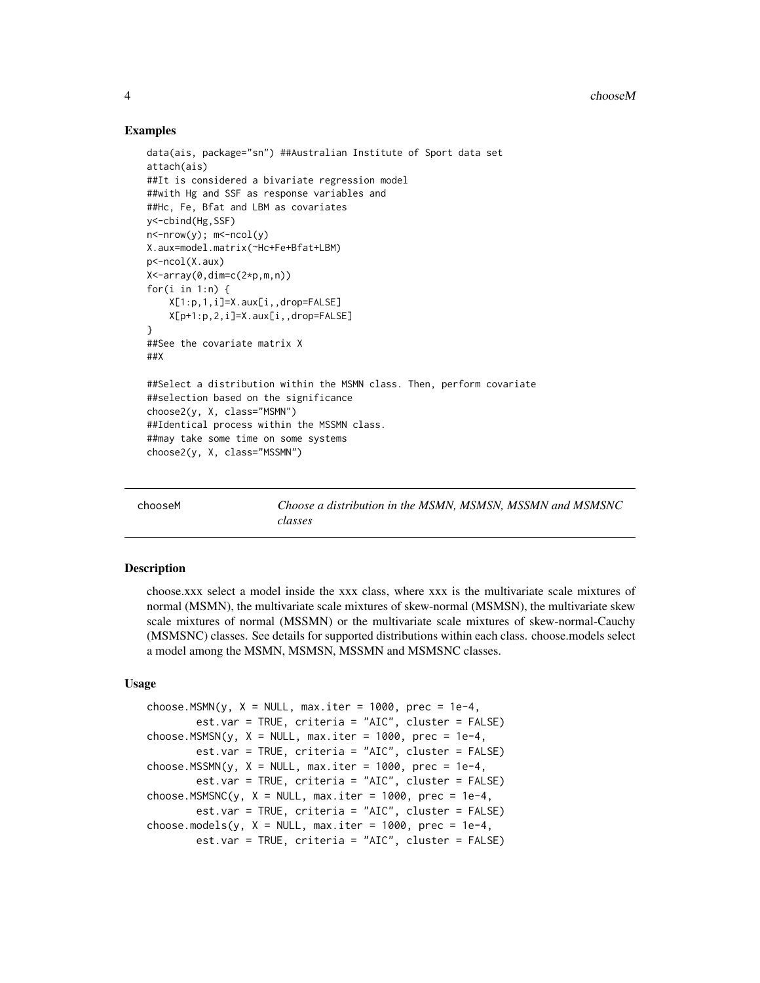#### Examples

```
data(ais, package="sn") ##Australian Institute of Sport data set
attach(ais)
##It is considered a bivariate regression model
##with Hg and SSF as response variables and
##Hc, Fe, Bfat and LBM as covariates
y<-cbind(Hg,SSF)
n <-nrow(y); m <-ncol(y)
X.aux=model.matrix(~Hc+Fe+Bfat+LBM)
p<-ncol(X.aux)
X < -array(\emptyset, dim = c(2*p, m, n))for(i in 1:n) {
    X[1:p,1,i]=X.aux[i,,drop=FALSE]
    X[p+1:p,2,i]=X.aux[i,,drop=FALSE]
}
##See the covariate matrix X
##X
##Select a distribution within the MSMN class. Then, perform covariate
##selection based on the significance
choose2(y, X, class="MSMN")
##Identical process within the MSSMN class.
##may take some time on some systems
choose2(y, X, class="MSSMN")
```
chooseM *Choose a distribution in the MSMN, MSMSN, MSSMN and MSMSNC classes*

#### **Description**

choose.xxx select a model inside the xxx class, where xxx is the multivariate scale mixtures of normal (MSMN), the multivariate scale mixtures of skew-normal (MSMSN), the multivariate skew scale mixtures of normal (MSSMN) or the multivariate scale mixtures of skew-normal-Cauchy (MSMSNC) classes. See details for supported distributions within each class. choose.models select a model among the MSMN, MSMSN, MSSMN and MSMSNC classes.

#### Usage

```
choose.MSMN(y, X = NULL, max.iter = 1000, prec = 1e-4,
       est.var = TRUE, criteria = "AIC", cluster = FALSE)
choose.MSMSN(y, X = NULL, max.iter = 1000, prec = 1e-4,
       est.var = TRUE, criteria = "AIC", cluster = FALSE)
choose.MSSMN(y, X = NULL, max.iter = 1000, prec = 1e-4,
        est.var = TRUE, criteria = "AIC", cluster = FALSE)
choose.MSMSNC(y, X = NULL, max.iter = 1000, prec = 1e-4,
       est.var = TRUE, criteria = "AIC", cluster = FALSE)
choose.models(y, X = NULL, max.iter = 1000, prec = 1e-4,
       est.var = TRUE, criteria = "AIC", cluster = FALSE)
```
<span id="page-3-0"></span>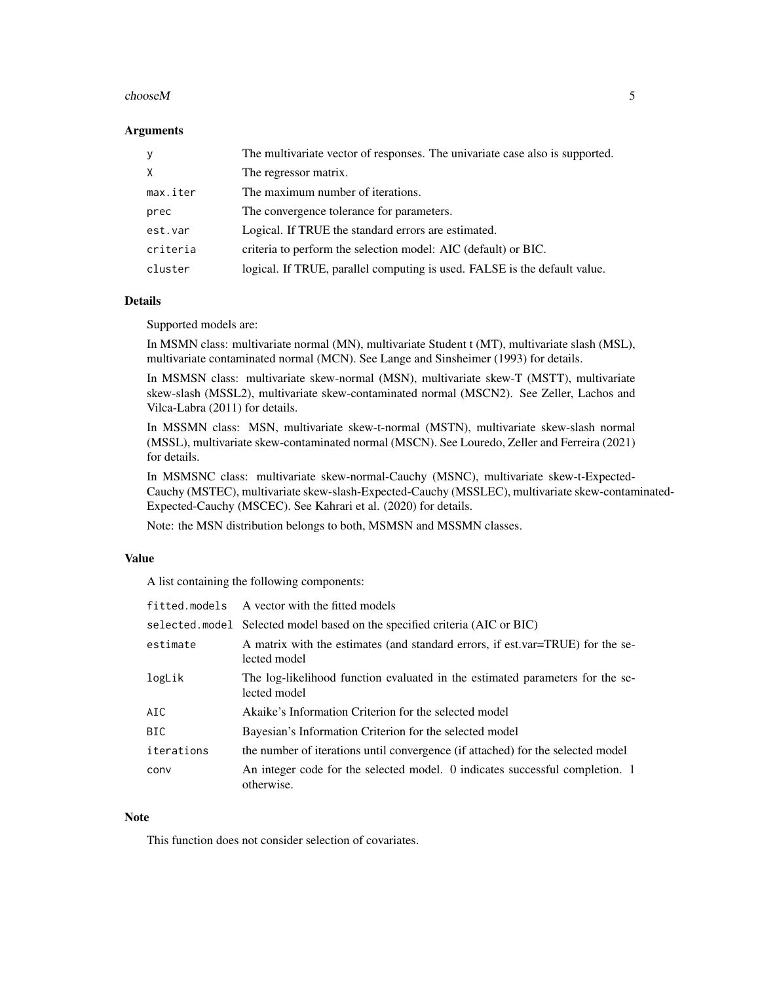#### $chooseM$  5

#### **Arguments**

| $\mathsf{V}$ | The multivariate vector of responses. The univariate case also is supported. |
|--------------|------------------------------------------------------------------------------|
| X            | The regressor matrix.                                                        |
| max.iter     | The maximum number of iterations.                                            |
| prec         | The convergence tolerance for parameters.                                    |
| est.var      | Logical. If TRUE the standard errors are estimated.                          |
| criteria     | criteria to perform the selection model: AIC (default) or BIC.               |
| cluster      | logical. If TRUE, parallel computing is used. FALSE is the default value.    |

# Details

Supported models are:

In MSMN class: multivariate normal (MN), multivariate Student t (MT), multivariate slash (MSL), multivariate contaminated normal (MCN). See Lange and Sinsheimer (1993) for details.

In MSMSN class: multivariate skew-normal (MSN), multivariate skew-T (MSTT), multivariate skew-slash (MSSL2), multivariate skew-contaminated normal (MSCN2). See Zeller, Lachos and Vilca-Labra (2011) for details.

In MSSMN class: MSN, multivariate skew-t-normal (MSTN), multivariate skew-slash normal (MSSL), multivariate skew-contaminated normal (MSCN). See Louredo, Zeller and Ferreira (2021) for details.

In MSMSNC class: multivariate skew-normal-Cauchy (MSNC), multivariate skew-t-Expected-Cauchy (MSTEC), multivariate skew-slash-Expected-Cauchy (MSSLEC), multivariate skew-contaminated-Expected-Cauchy (MSCEC). See Kahrari et al. (2020) for details.

Note: the MSN distribution belongs to both, MSMSN and MSSMN classes.

# Value

A list containing the following components:

|            | fitted.models A vector with the fitted models                                                  |
|------------|------------------------------------------------------------------------------------------------|
|            | selected model Selected model based on the specified criteria (AIC or BIC)                     |
| estimate   | A matrix with the estimates (and standard errors, if est.var=TRUE) for the se-<br>lected model |
| logLik     | The log-likelihood function evaluated in the estimated parameters for the se-<br>lected model  |
| AIC        | Akaike's Information Criterion for the selected model                                          |
| BIC        | Bayesian's Information Criterion for the selected model                                        |
| iterations | the number of iterations until convergence (if attached) for the selected model                |
| conv       | An integer code for the selected model. 0 indicates successful completion. 1<br>otherwise.     |

#### Note

This function does not consider selection of covariates.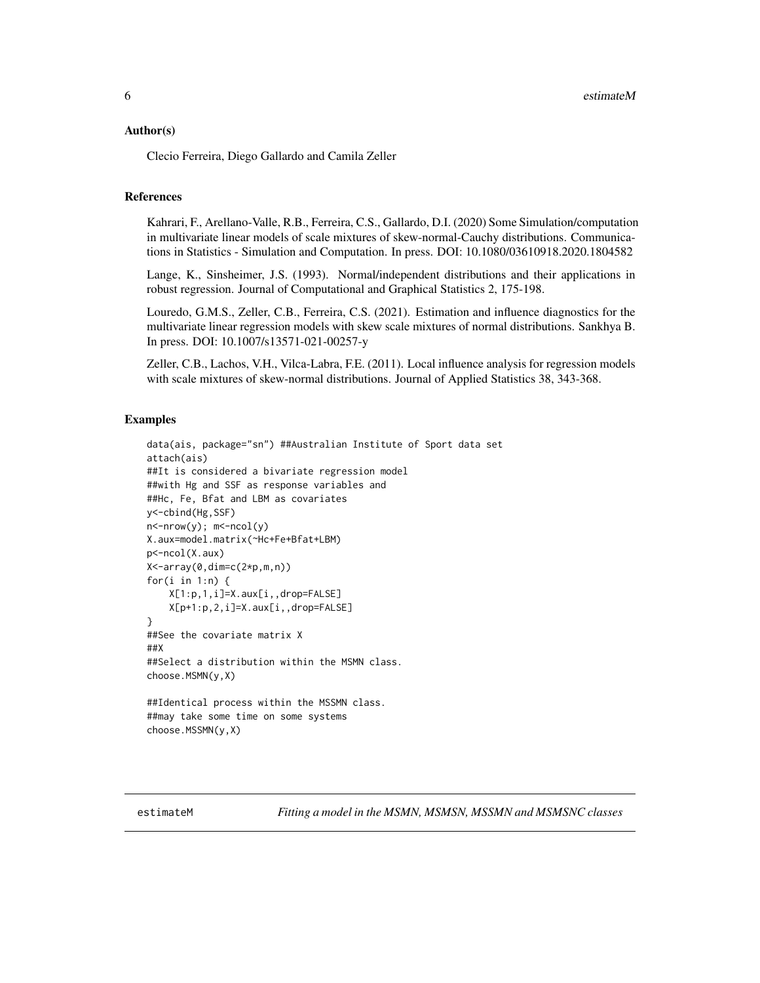#### <span id="page-5-0"></span>Author(s)

Clecio Ferreira, Diego Gallardo and Camila Zeller

# References

Kahrari, F., Arellano-Valle, R.B., Ferreira, C.S., Gallardo, D.I. (2020) Some Simulation/computation in multivariate linear models of scale mixtures of skew-normal-Cauchy distributions. Communications in Statistics - Simulation and Computation. In press. DOI: 10.1080/03610918.2020.1804582

Lange, K., Sinsheimer, J.S. (1993). Normal/independent distributions and their applications in robust regression. Journal of Computational and Graphical Statistics 2, 175-198.

Louredo, G.M.S., Zeller, C.B., Ferreira, C.S. (2021). Estimation and influence diagnostics for the multivariate linear regression models with skew scale mixtures of normal distributions. Sankhya B. In press. DOI: 10.1007/s13571-021-00257-y

Zeller, C.B., Lachos, V.H., Vilca-Labra, F.E. (2011). Local influence analysis for regression models with scale mixtures of skew-normal distributions. Journal of Applied Statistics 38, 343-368.

#### Examples

```
data(ais, package="sn") ##Australian Institute of Sport data set
attach(ais)
##It is considered a bivariate regression model
##with Hg and SSF as response variables and
##Hc, Fe, Bfat and LBM as covariates
y<-cbind(Hg,SSF)
n<-nrow(y); m<-ncol(y)
X.aux=model.matrix(~Hc+Fe+Bfat+LBM)
p<-ncol(X.aux)
X<-array(0,dim=c(2*p,m,n))
for(i in 1:n) {
    X[1:p,1,i]=X.aux[i,,drop=FALSE]
   X[p+1:p,2,i]=X.aux[i,,drop=FALSE]
}
##See the covariate matrix X
##X
##Select a distribution within the MSMN class.
choose.MSMN(y,X)
##Identical process within the MSSMN class.
##may take some time on some systems
```
choose.MSSMN(y,X)

estimateM *Fitting a model in the MSMN, MSMSN, MSSMN and MSMSNC classes*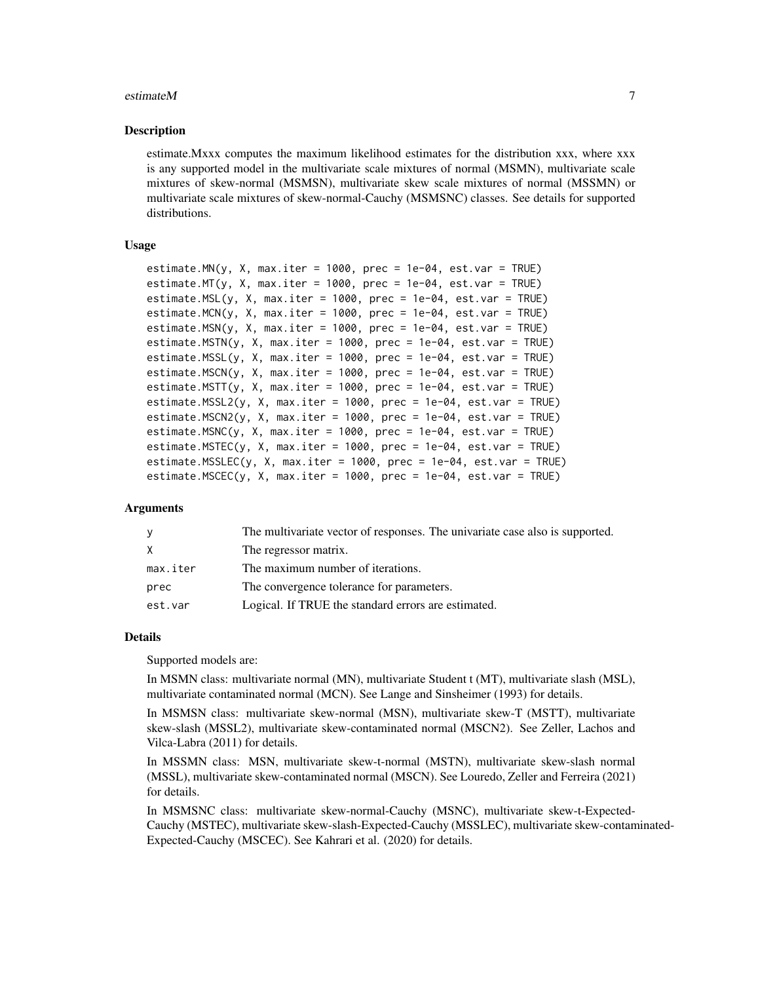#### estimateM 7

#### Description

estimate.Mxxx computes the maximum likelihood estimates for the distribution xxx, where xxx is any supported model in the multivariate scale mixtures of normal (MSMN), multivariate scale mixtures of skew-normal (MSMSN), multivariate skew scale mixtures of normal (MSSMN) or multivariate scale mixtures of skew-normal-Cauchy (MSMSNC) classes. See details for supported distributions.

#### Usage

```
estimate.MN(y, X, max.iter = 1000, prec = 1e-04, est.var = TRUE)
estimate.MT(y, X, max.iter = 1000, prec = 1e-04, est.var = TRUE)
estimate.MSL(y, X, max.iter = 1000, prec = 1e-04, est.var = TRUE)
estimate.MCN(y, X, max.iter = 1000, prec = 1e-04, est.var = TRUE)
estimate.MSN(y, X, max.iter = 1000, prec = 1e-04, est.var = TRUE)
estimate.MSTN(y, X, max.iter = 1000, prec = 1e-04, est.var = TRUE)estimate.MSSL(y, X, max.iter = 1000, prec = 1e-04, est.var = TRUE)
estimate.MSCN(y, X, max.iter = 1000, prec = 1e-04, est.var = TRUE)
estimate.MSTT(y, X, max.iter = 1000, prec = 1e-04, est.var = TRUE)
estimate.MSSL2(y, X, max.iter = 1000, prec = 1e-04, est.var = TRUE)
estimate.MSCN2(y, X, max.iter = 1000, prec = 1e-04, est.var = TRUE)
estimate.MSNC(y, X, max.iter = 1000, prec = 1e-04, est.var = TRUE)
estimate.MSTEC(y, X, max.iter = 1000, prec = 1e-04, est.var = TRUE)
estimate.MSSLEC(y, X, max.iter = 1000, prec = 1e-04, est.var = TRUE)
estimate.MSCEC(y, X, max.iter = 1000, prec = 1e-04, est.var = TRUE)
```
#### Arguments

| <b>V</b> | The multivariate vector of responses. The univariate case also is supported. |
|----------|------------------------------------------------------------------------------|
| X        | The regressor matrix.                                                        |
| max.iter | The maximum number of iterations.                                            |
| prec     | The convergence tolerance for parameters.                                    |
| est.var  | Logical. If TRUE the standard errors are estimated.                          |
|          |                                                                              |

#### Details

Supported models are:

In MSMN class: multivariate normal (MN), multivariate Student t (MT), multivariate slash (MSL), multivariate contaminated normal (MCN). See Lange and Sinsheimer (1993) for details.

In MSMSN class: multivariate skew-normal (MSN), multivariate skew-T (MSTT), multivariate skew-slash (MSSL2), multivariate skew-contaminated normal (MSCN2). See Zeller, Lachos and Vilca-Labra (2011) for details.

In MSSMN class: MSN, multivariate skew-t-normal (MSTN), multivariate skew-slash normal (MSSL), multivariate skew-contaminated normal (MSCN). See Louredo, Zeller and Ferreira (2021) for details.

In MSMSNC class: multivariate skew-normal-Cauchy (MSNC), multivariate skew-t-Expected-Cauchy (MSTEC), multivariate skew-slash-Expected-Cauchy (MSSLEC), multivariate skew-contaminated-Expected-Cauchy (MSCEC). See Kahrari et al. (2020) for details.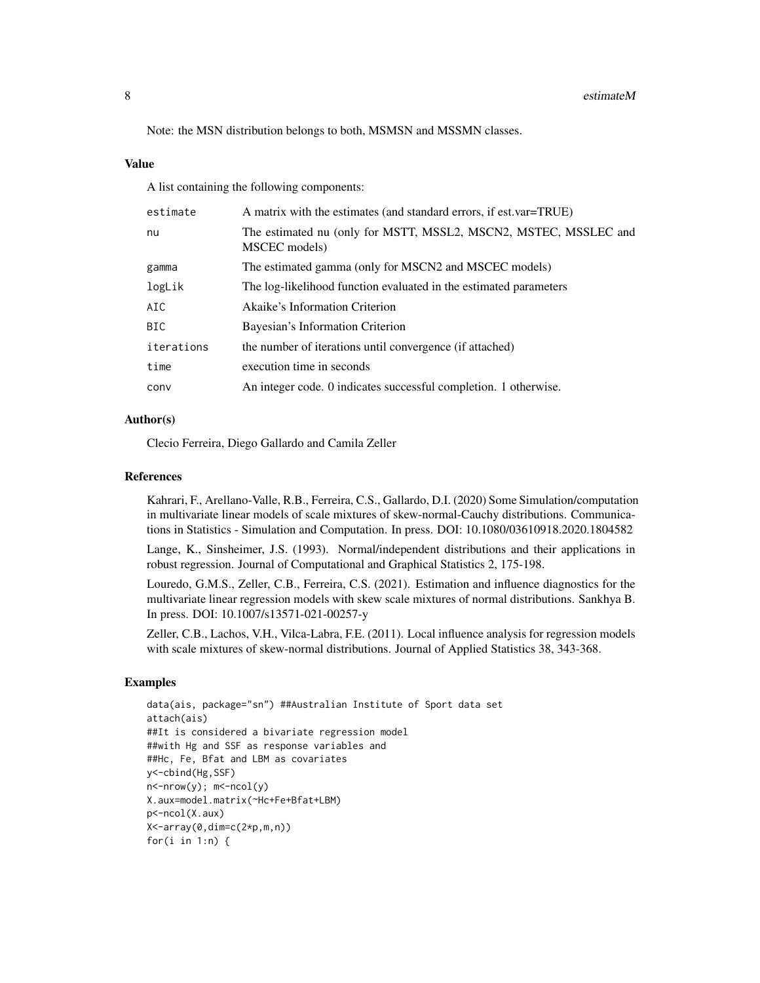Note: the MSN distribution belongs to both, MSMSN and MSSMN classes.

#### Value

A list containing the following components:

| estimate   | A matrix with the estimates (and standard errors, if est.var=TRUE)                |
|------------|-----------------------------------------------------------------------------------|
| nu         | The estimated nu (only for MSTT, MSSL2, MSCN2, MSTEC, MSSLEC and<br>MSCEC models) |
| gamma      | The estimated gamma (only for MSCN2 and MSCEC models)                             |
| logLik     | The log-likelihood function evaluated in the estimated parameters                 |
| AIC        | Akaike's Information Criterion                                                    |
| <b>BIC</b> | Bayesian's Information Criterion                                                  |
| iterations | the number of iterations until convergence (if attached)                          |
| time       | execution time in seconds                                                         |
| conv       | An integer code. 0 indicates successful completion. 1 otherwise.                  |

### Author(s)

Clecio Ferreira, Diego Gallardo and Camila Zeller

#### **References**

Kahrari, F., Arellano-Valle, R.B., Ferreira, C.S., Gallardo, D.I. (2020) Some Simulation/computation in multivariate linear models of scale mixtures of skew-normal-Cauchy distributions. Communications in Statistics - Simulation and Computation. In press. DOI: 10.1080/03610918.2020.1804582

Lange, K., Sinsheimer, J.S. (1993). Normal/independent distributions and their applications in robust regression. Journal of Computational and Graphical Statistics 2, 175-198.

Louredo, G.M.S., Zeller, C.B., Ferreira, C.S. (2021). Estimation and influence diagnostics for the multivariate linear regression models with skew scale mixtures of normal distributions. Sankhya B. In press. DOI: 10.1007/s13571-021-00257-y

Zeller, C.B., Lachos, V.H., Vilca-Labra, F.E. (2011). Local influence analysis for regression models with scale mixtures of skew-normal distributions. Journal of Applied Statistics 38, 343-368.

# Examples

```
data(ais, package="sn") ##Australian Institute of Sport data set
attach(ais)
##It is considered a bivariate regression model
##with Hg and SSF as response variables and
##Hc, Fe, Bfat and LBM as covariates
y<-cbind(Hg,SSF)
n <-nrow(y); m <-ncol(y)
X.aux=model.matrix(~Hc+Fe+Bfat+LBM)
p<-ncol(X.aux)
X<-array(0,dim=c(2*p,m,n))
for(i in 1:n) {
```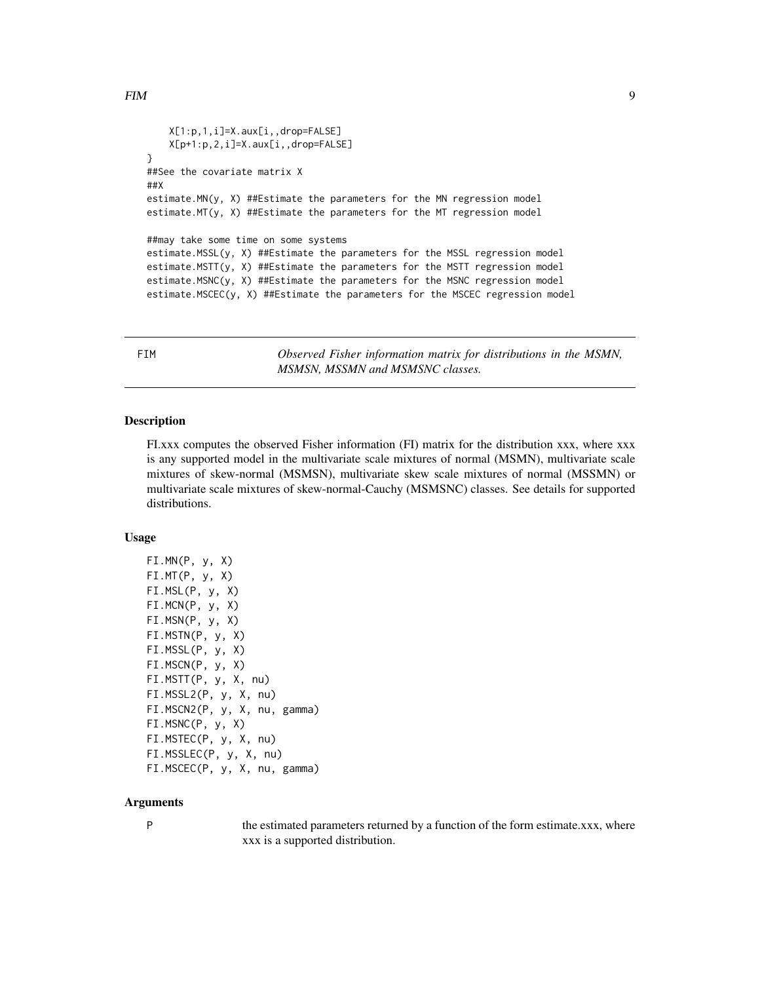```
FIM 99
```

```
X[1:p,1,i]=X.aux[i,,drop=FALSE]
   X[p+1:p,2,i]=X.aux[i,,drop=FALSE]
}
##See the covariate matrix X
##X
estimate.MN(y, X) ##Estimate the parameters for the MN regression model
estimate.MT(y, X) ##Estimate the parameters for the MT regression model
##may take some time on some systems
estimate.MSSL(y, X) ##Estimate the parameters for the MSSL regression model
estimate.MSTT(y, X) ##Estimate the parameters for the MSTT regression model
estimate.MSNC(y, X) ##Estimate the parameters for the MSNC regression model
estimate.MSCEC(y, X) ##Estimate the parameters for the MSCEC regression model
```
Observed Fisher information matrix for distributions in the MSMN, *MSMSN, MSSMN and MSMSNC classes.*

#### Description

FI.xxx computes the observed Fisher information (FI) matrix for the distribution xxx, where xxx is any supported model in the multivariate scale mixtures of normal (MSMN), multivariate scale mixtures of skew-normal (MSMSN), multivariate skew scale mixtures of normal (MSSMN) or multivariate scale mixtures of skew-normal-Cauchy (MSMSNC) classes. See details for supported distributions.

# Usage

```
FI.MN(P, y, X)
FI.MT(P, y, X)
FI.MSL(P, y, X)
FI.MCN(P, y, X)
FI.MSN(P, y, X)
FI.MSTN(P, y, X)
FI.MSSL(P, y, X)
FI.MSCN(P, y, X)
FI.MSTT(P, y, X, nu)
FI.MSSL2(P, y, X, nu)
FI.MSCN2(P, y, X, nu, gamma)
FI.MSNC(P, y, X)
FI.MSTEC(P, y, X, nu)
FI.MSSLEC(P, y, X, nu)
FI.MSCEC(P, y, X, nu, gamma)
```
#### Arguments

P the estimated parameters returned by a function of the form estimate.xxx, where xxx is a supported distribution.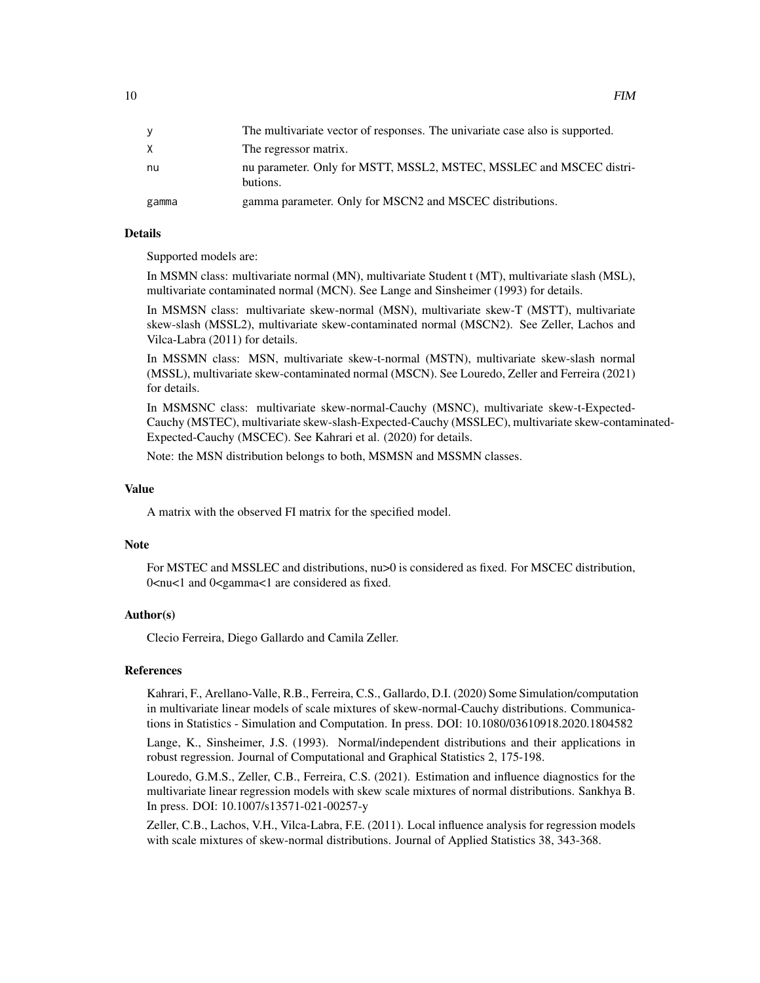| v     | The multivariate vector of responses. The univariate case also is supported.    |
|-------|---------------------------------------------------------------------------------|
|       | The regressor matrix.                                                           |
| nu    | nu parameter. Only for MSTT, MSSL2, MSTEC, MSSLEC and MSCEC distri-<br>butions. |
| gamma | gamma parameter. Only for MSCN2 and MSCEC distributions.                        |

#### Details

Supported models are:

In MSMN class: multivariate normal (MN), multivariate Student t (MT), multivariate slash (MSL), multivariate contaminated normal (MCN). See Lange and Sinsheimer (1993) for details.

In MSMSN class: multivariate skew-normal (MSN), multivariate skew-T (MSTT), multivariate skew-slash (MSSL2), multivariate skew-contaminated normal (MSCN2). See Zeller, Lachos and Vilca-Labra (2011) for details.

In MSSMN class: MSN, multivariate skew-t-normal (MSTN), multivariate skew-slash normal (MSSL), multivariate skew-contaminated normal (MSCN). See Louredo, Zeller and Ferreira (2021) for details.

In MSMSNC class: multivariate skew-normal-Cauchy (MSNC), multivariate skew-t-Expected-Cauchy (MSTEC), multivariate skew-slash-Expected-Cauchy (MSSLEC), multivariate skew-contaminated-Expected-Cauchy (MSCEC). See Kahrari et al. (2020) for details.

Note: the MSN distribution belongs to both, MSMSN and MSSMN classes.

#### Value

A matrix with the observed FI matrix for the specified model.

#### **Note**

For MSTEC and MSSLEC and distributions, nu>0 is considered as fixed. For MSCEC distribution, 0<nu<1 and 0<gamma<1 are considered as fixed.

#### Author(s)

Clecio Ferreira, Diego Gallardo and Camila Zeller.

#### References

Kahrari, F., Arellano-Valle, R.B., Ferreira, C.S., Gallardo, D.I. (2020) Some Simulation/computation in multivariate linear models of scale mixtures of skew-normal-Cauchy distributions. Communications in Statistics - Simulation and Computation. In press. DOI: 10.1080/03610918.2020.1804582

Lange, K., Sinsheimer, J.S. (1993). Normal/independent distributions and their applications in robust regression. Journal of Computational and Graphical Statistics 2, 175-198.

Louredo, G.M.S., Zeller, C.B., Ferreira, C.S. (2021). Estimation and influence diagnostics for the multivariate linear regression models with skew scale mixtures of normal distributions. Sankhya B. In press. DOI: 10.1007/s13571-021-00257-y

Zeller, C.B., Lachos, V.H., Vilca-Labra, F.E. (2011). Local influence analysis for regression models with scale mixtures of skew-normal distributions. Journal of Applied Statistics 38, 343-368.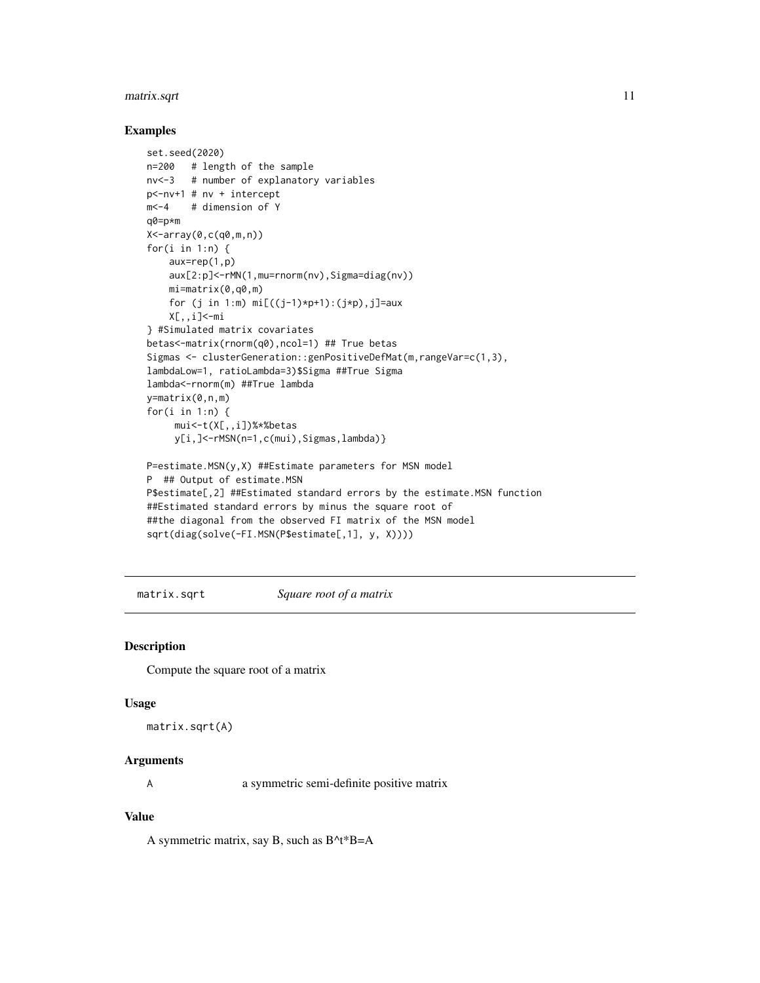#### <span id="page-10-0"></span>matrix.sqrt 11

#### Examples

```
set.seed(2020)
n=200 # length of the sample
nv<-3 # number of explanatory variables
p<-nv+1 # nv + intercept
m<-4 # dimension of Y
q0=p*m
X<-array(0,c(q0,m,n))
for(i in 1:n) {
   aux=rep(1,p)
    aux[2:p]<-rMN(1,mu=rnorm(nv),Sigma=diag(nv))
   mi=matrix(0,q0,m)
    for (j in 1:m) mi[((j-1)*p+1):(j*p), j]=auxX[,,i]<-mi
} #Simulated matrix covariates
betas<-matrix(rnorm(q0),ncol=1) ## True betas
Sigmas <- clusterGeneration::genPositiveDefMat(m,rangeVar=c(1,3),
lambdaLow=1, ratioLambda=3)$Sigma ##True Sigma
lambda<-rnorm(m) ##True lambda
y=matrix(0,n,m)
for(i in 1:n) {
     mui<-t(X[,,i])%*%betas
     y[i,]<-rMSN(n=1,c(mui),Sigmas,lambda)}
P=estimate.MSN(y,X) ##Estimate parameters for MSN model
P ## Output of estimate.MSN
P$estimate[,2] ##Estimated standard errors by the estimate.MSN function
##Estimated standard errors by minus the square root of
##the diagonal from the observed FI matrix of the MSN model
```

```
sqrt(diag(solve(-FI.MSN(P$estimate[,1], y, X))))
```
matrix.sqrt *Square root of a matrix*

#### Description

Compute the square root of a matrix

#### Usage

```
matrix.sqrt(A)
```
#### Arguments

A a symmetric semi-definite positive matrix

#### Value

A symmetric matrix, say B, such as B^t\*B=A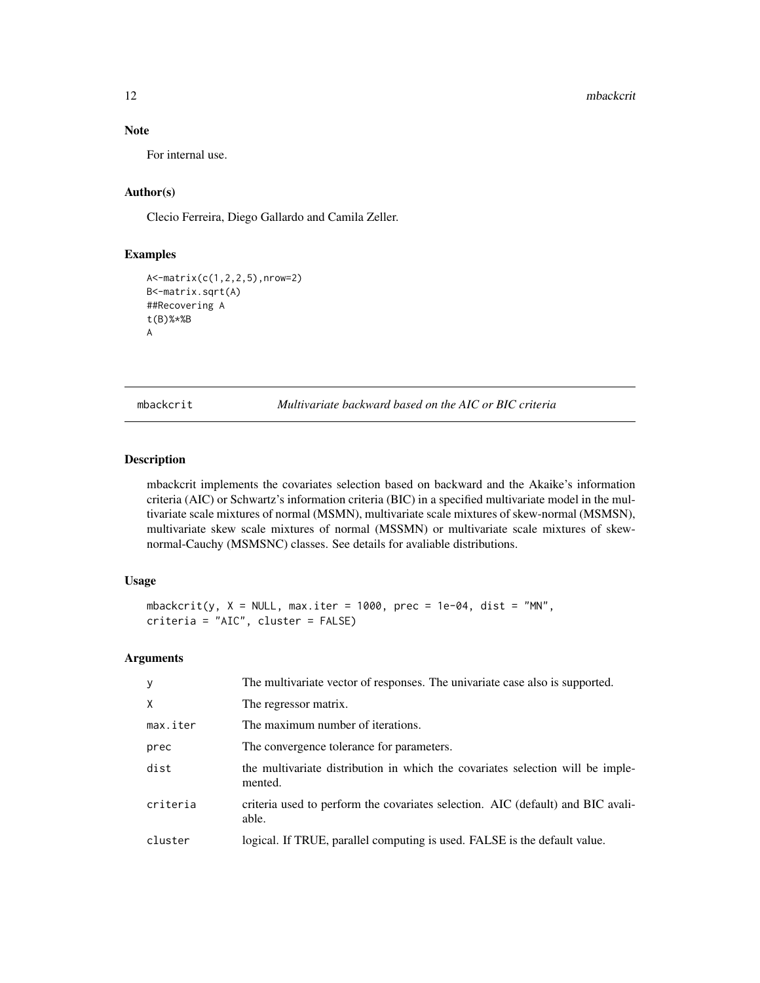# Note

For internal use.

# Author(s)

Clecio Ferreira, Diego Gallardo and Camila Zeller.

# Examples

```
A<-matrix(c(1,2,2,5),nrow=2)
B<-matrix.sqrt(A)
##Recovering A
t(B)%*%B
A
```
mbackcrit *Multivariate backward based on the AIC or BIC criteria*

# Description

mbackcrit implements the covariates selection based on backward and the Akaike's information criteria (AIC) or Schwartz's information criteria (BIC) in a specified multivariate model in the multivariate scale mixtures of normal (MSMN), multivariate scale mixtures of skew-normal (MSMSN), multivariate skew scale mixtures of normal (MSSMN) or multivariate scale mixtures of skewnormal-Cauchy (MSMSNC) classes. See details for avaliable distributions.

# Usage

```
mbackcrit(y, X = NULL, max.iter = 1000, prec = 1e-04, dist = "MN",
criteria = "AIC", cluster = FALSE)
```
### Arguments

| <sub>y</sub> | The multivariate vector of responses. The univariate case also is supported.              |
|--------------|-------------------------------------------------------------------------------------------|
| $\mathsf{X}$ | The regressor matrix.                                                                     |
| max.iter     | The maximum number of iterations.                                                         |
| prec         | The convergence tolerance for parameters.                                                 |
| dist         | the multivariate distribution in which the covariates selection will be imple-<br>mented. |
| criteria     | criteria used to perform the covariates selection. AIC (default) and BIC avali-<br>able.  |
| cluster      | logical. If TRUE, parallel computing is used. FALSE is the default value.                 |
|              |                                                                                           |

<span id="page-11-0"></span>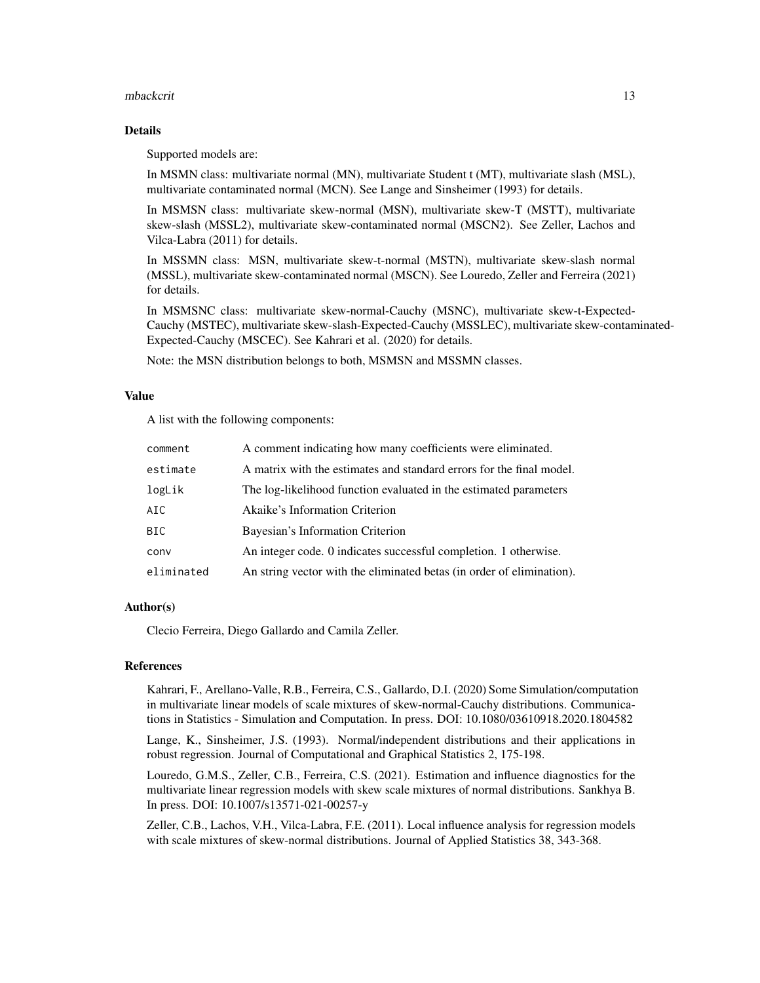#### mbackcrit 13

#### Details

Supported models are:

In MSMN class: multivariate normal (MN), multivariate Student t (MT), multivariate slash (MSL), multivariate contaminated normal (MCN). See Lange and Sinsheimer (1993) for details.

In MSMSN class: multivariate skew-normal (MSN), multivariate skew-T (MSTT), multivariate skew-slash (MSSL2), multivariate skew-contaminated normal (MSCN2). See Zeller, Lachos and Vilca-Labra (2011) for details.

In MSSMN class: MSN, multivariate skew-t-normal (MSTN), multivariate skew-slash normal (MSSL), multivariate skew-contaminated normal (MSCN). See Louredo, Zeller and Ferreira (2021) for details.

In MSMSNC class: multivariate skew-normal-Cauchy (MSNC), multivariate skew-t-Expected-Cauchy (MSTEC), multivariate skew-slash-Expected-Cauchy (MSSLEC), multivariate skew-contaminated-Expected-Cauchy (MSCEC). See Kahrari et al. (2020) for details.

Note: the MSN distribution belongs to both, MSMSN and MSSMN classes.

#### Value

A list with the following components:

| comment    | A comment indicating how many coefficients were eliminated.           |
|------------|-----------------------------------------------------------------------|
| estimate   | A matrix with the estimates and standard errors for the final model.  |
| logLik     | The log-likelihood function evaluated in the estimated parameters     |
| AIC.       | Akaike's Information Criterion                                        |
| BIC.       | Bayesian's Information Criterion                                      |
| conv       | An integer code. 0 indicates successful completion. 1 otherwise.      |
| eliminated | An string vector with the eliminated betas (in order of elimination). |

# Author(s)

Clecio Ferreira, Diego Gallardo and Camila Zeller.

#### References

Kahrari, F., Arellano-Valle, R.B., Ferreira, C.S., Gallardo, D.I. (2020) Some Simulation/computation in multivariate linear models of scale mixtures of skew-normal-Cauchy distributions. Communications in Statistics - Simulation and Computation. In press. DOI: 10.1080/03610918.2020.1804582

Lange, K., Sinsheimer, J.S. (1993). Normal/independent distributions and their applications in robust regression. Journal of Computational and Graphical Statistics 2, 175-198.

Louredo, G.M.S., Zeller, C.B., Ferreira, C.S. (2021). Estimation and influence diagnostics for the multivariate linear regression models with skew scale mixtures of normal distributions. Sankhya B. In press. DOI: 10.1007/s13571-021-00257-y

Zeller, C.B., Lachos, V.H., Vilca-Labra, F.E. (2011). Local influence analysis for regression models with scale mixtures of skew-normal distributions. Journal of Applied Statistics 38, 343-368.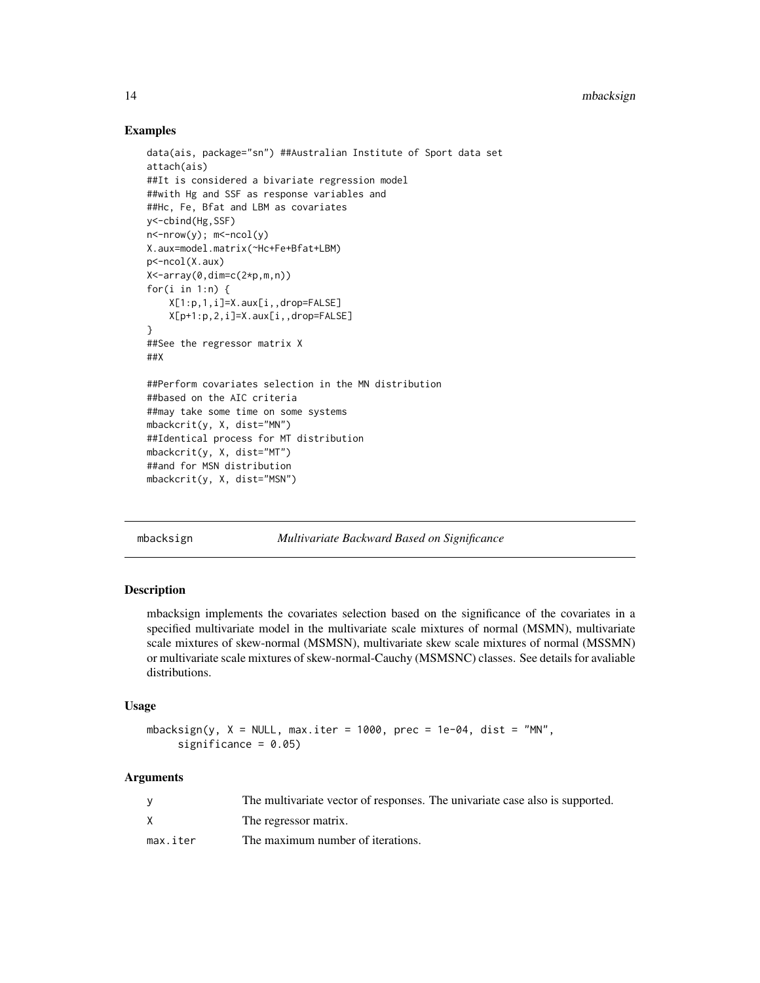#### Examples

```
data(ais, package="sn") ##Australian Institute of Sport data set
attach(ais)
##It is considered a bivariate regression model
##with Hg and SSF as response variables and
##Hc, Fe, Bfat and LBM as covariates
y<-cbind(Hg,SSF)
n <-nrow(y); m <-ncol(y)
X.aux=model.matrix(~Hc+Fe+Bfat+LBM)
p<-ncol(X.aux)
X<-array(0,dim=c(2*p,m,n))
for(i in 1:n) \{X[1:p,1,i]=X.aux[i,,drop=FALSE]
   X[p+1:p,2,i]=X.aux[i,,drop=FALSE]
}
##See the regressor matrix X
##X
##Perform covariates selection in the MN distribution
##based on the AIC criteria
##may take some time on some systems
mbackcrit(y, X, dist="MN")
##Identical process for MT distribution
mbackcrit(y, X, dist="MT")
##and for MSN distribution
mbackcrit(y, X, dist="MSN")
```
mbacksign *Multivariate Backward Based on Significance*

#### Description

mbacksign implements the covariates selection based on the significance of the covariates in a specified multivariate model in the multivariate scale mixtures of normal (MSMN), multivariate scale mixtures of skew-normal (MSMSN), multivariate skew scale mixtures of normal (MSSMN) or multivariate scale mixtures of skew-normal-Cauchy (MSMSNC) classes. See details for avaliable distributions.

#### Usage

```
mbacksign(y, X = NULL, max.iter = 1000, prec = 1e-04, dist = "MN",
     significance = 0.05)
```
# Arguments

|          | The multivariate vector of responses. The univariate case also is supported. |
|----------|------------------------------------------------------------------------------|
|          | The regressor matrix.                                                        |
| max.iter | The maximum number of iterations.                                            |

<span id="page-13-0"></span>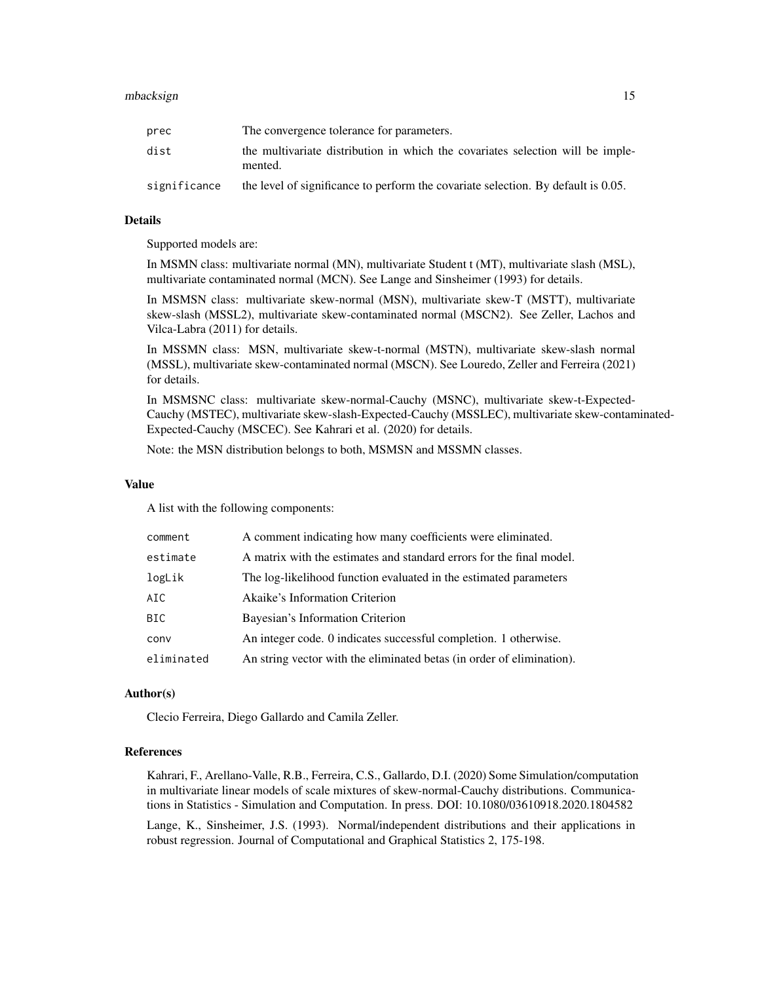#### mbacksign 15

| prec         | The convergence tolerance for parameters.                                                 |
|--------------|-------------------------------------------------------------------------------------------|
| dist         | the multivariate distribution in which the covariates selection will be imple-<br>mented. |
| significance | the level of significance to perform the covariate selection. By default is 0.05.         |

# Details

Supported models are:

In MSMN class: multivariate normal (MN), multivariate Student t (MT), multivariate slash (MSL), multivariate contaminated normal (MCN). See Lange and Sinsheimer (1993) for details.

In MSMSN class: multivariate skew-normal (MSN), multivariate skew-T (MSTT), multivariate skew-slash (MSSL2), multivariate skew-contaminated normal (MSCN2). See Zeller, Lachos and Vilca-Labra (2011) for details.

In MSSMN class: MSN, multivariate skew-t-normal (MSTN), multivariate skew-slash normal (MSSL), multivariate skew-contaminated normal (MSCN). See Louredo, Zeller and Ferreira (2021) for details.

In MSMSNC class: multivariate skew-normal-Cauchy (MSNC), multivariate skew-t-Expected-Cauchy (MSTEC), multivariate skew-slash-Expected-Cauchy (MSSLEC), multivariate skew-contaminated-Expected-Cauchy (MSCEC). See Kahrari et al. (2020) for details.

Note: the MSN distribution belongs to both, MSMSN and MSSMN classes.

#### Value

A list with the following components:

| comment    | A comment indicating how many coefficients were eliminated.           |
|------------|-----------------------------------------------------------------------|
| estimate   | A matrix with the estimates and standard errors for the final model.  |
| logLik     | The log-likelihood function evaluated in the estimated parameters     |
| AIC        | Akaike's Information Criterion                                        |
| BIC.       | Bayesian's Information Criterion                                      |
| conv       | An integer code. 0 indicates successful completion. 1 otherwise.      |
| eliminated | An string vector with the eliminated betas (in order of elimination). |

#### Author(s)

Clecio Ferreira, Diego Gallardo and Camila Zeller.

#### References

Kahrari, F., Arellano-Valle, R.B., Ferreira, C.S., Gallardo, D.I. (2020) Some Simulation/computation in multivariate linear models of scale mixtures of skew-normal-Cauchy distributions. Communications in Statistics - Simulation and Computation. In press. DOI: 10.1080/03610918.2020.1804582

Lange, K., Sinsheimer, J.S. (1993). Normal/independent distributions and their applications in robust regression. Journal of Computational and Graphical Statistics 2, 175-198.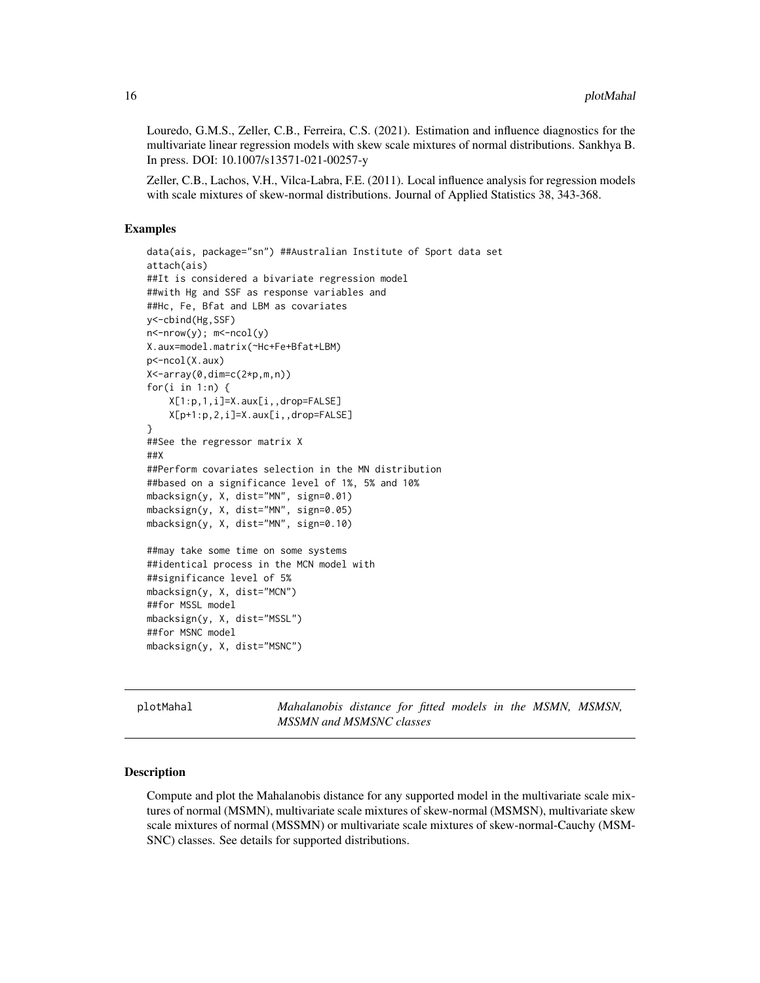<span id="page-15-0"></span>Louredo, G.M.S., Zeller, C.B., Ferreira, C.S. (2021). Estimation and influence diagnostics for the multivariate linear regression models with skew scale mixtures of normal distributions. Sankhya B. In press. DOI: 10.1007/s13571-021-00257-y

Zeller, C.B., Lachos, V.H., Vilca-Labra, F.E. (2011). Local influence analysis for regression models with scale mixtures of skew-normal distributions. Journal of Applied Statistics 38, 343-368.

#### Examples

```
data(ais, package="sn") ##Australian Institute of Sport data set
attach(ais)
##It is considered a bivariate regression model
##with Hg and SSF as response variables and
##Hc, Fe, Bfat and LBM as covariates
y<-cbind(Hg,SSF)
n<-nrow(y); m<-ncol(y)
X.aux=model.matrix(~Hc+Fe+Bfat+LBM)
p<-ncol(X.aux)
X<-array(0,dim=c(2*p,m,n))
for(i in 1:n) {
    X[1:p,1,i]=X.aux[i,,drop=FALSE]
    X[p+1:p,2,i]=X.aux[i,,drop=FALSE]
}
##See the regressor matrix X
##X
##Perform covariates selection in the MN distribution
##based on a significance level of 1%, 5% and 10%
mbacksign(y, X, dist="MN", sign=0.01)
mbacksign(y, X, dist="MN", sign=0.05)
mbacksign(y, X, dist="MN", sign=0.10)
##may take some time on some systems
##identical process in the MCN model with
##significance level of 5%
mbacksign(y, X, dist="MCN")
##for MSSL model
mbacksign(y, X, dist="MSSL")
##for MSNC model
mbacksign(y, X, dist="MSNC")
```
plotMahal *Mahalanobis distance for fitted models in the MSMN, MSMSN, MSSMN and MSMSNC classes*

#### Description

Compute and plot the Mahalanobis distance for any supported model in the multivariate scale mixtures of normal (MSMN), multivariate scale mixtures of skew-normal (MSMSN), multivariate skew scale mixtures of normal (MSSMN) or multivariate scale mixtures of skew-normal-Cauchy (MSM-SNC) classes. See details for supported distributions.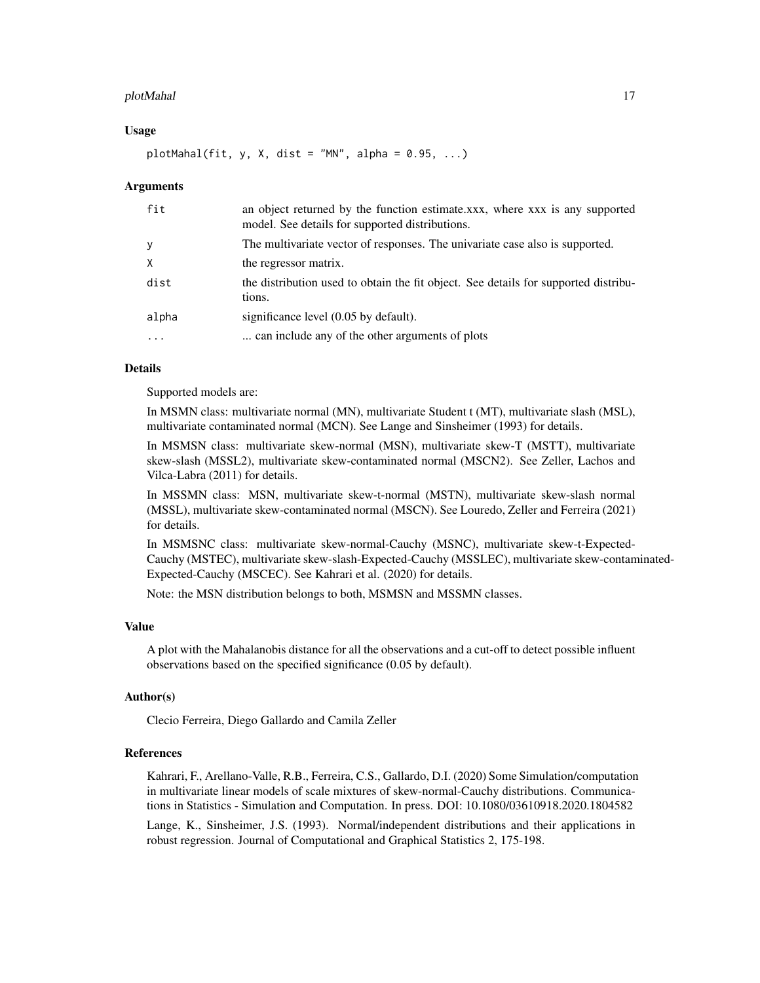#### plotMahal 17

#### Usage

plotMahal(fit, y, X, dist = "MN", alpha =  $0.95, ...$ )

#### Arguments

| fit          | an object returned by the function estimate.xxx, where xxx is any supported<br>model. See details for supported distributions. |
|--------------|--------------------------------------------------------------------------------------------------------------------------------|
| <sub>V</sub> | The multivariate vector of responses. The univariate case also is supported.                                                   |
| $\times$     | the regressor matrix.                                                                                                          |
| dist         | the distribution used to obtain the fit object. See details for supported distribu-<br>tions.                                  |
| alpha        | significance level (0.05 by default).                                                                                          |
| .            | can include any of the other arguments of plots                                                                                |

# Details

Supported models are:

In MSMN class: multivariate normal (MN), multivariate Student t (MT), multivariate slash (MSL), multivariate contaminated normal (MCN). See Lange and Sinsheimer (1993) for details.

In MSMSN class: multivariate skew-normal (MSN), multivariate skew-T (MSTT), multivariate skew-slash (MSSL2), multivariate skew-contaminated normal (MSCN2). See Zeller, Lachos and Vilca-Labra (2011) for details.

In MSSMN class: MSN, multivariate skew-t-normal (MSTN), multivariate skew-slash normal (MSSL), multivariate skew-contaminated normal (MSCN). See Louredo, Zeller and Ferreira (2021) for details.

In MSMSNC class: multivariate skew-normal-Cauchy (MSNC), multivariate skew-t-Expected-Cauchy (MSTEC), multivariate skew-slash-Expected-Cauchy (MSSLEC), multivariate skew-contaminated-Expected-Cauchy (MSCEC). See Kahrari et al. (2020) for details.

Note: the MSN distribution belongs to both, MSMSN and MSSMN classes.

#### Value

A plot with the Mahalanobis distance for all the observations and a cut-off to detect possible influent observations based on the specified significance (0.05 by default).

#### Author(s)

Clecio Ferreira, Diego Gallardo and Camila Zeller

#### References

Kahrari, F., Arellano-Valle, R.B., Ferreira, C.S., Gallardo, D.I. (2020) Some Simulation/computation in multivariate linear models of scale mixtures of skew-normal-Cauchy distributions. Communications in Statistics - Simulation and Computation. In press. DOI: 10.1080/03610918.2020.1804582

Lange, K., Sinsheimer, J.S. (1993). Normal/independent distributions and their applications in robust regression. Journal of Computational and Graphical Statistics 2, 175-198.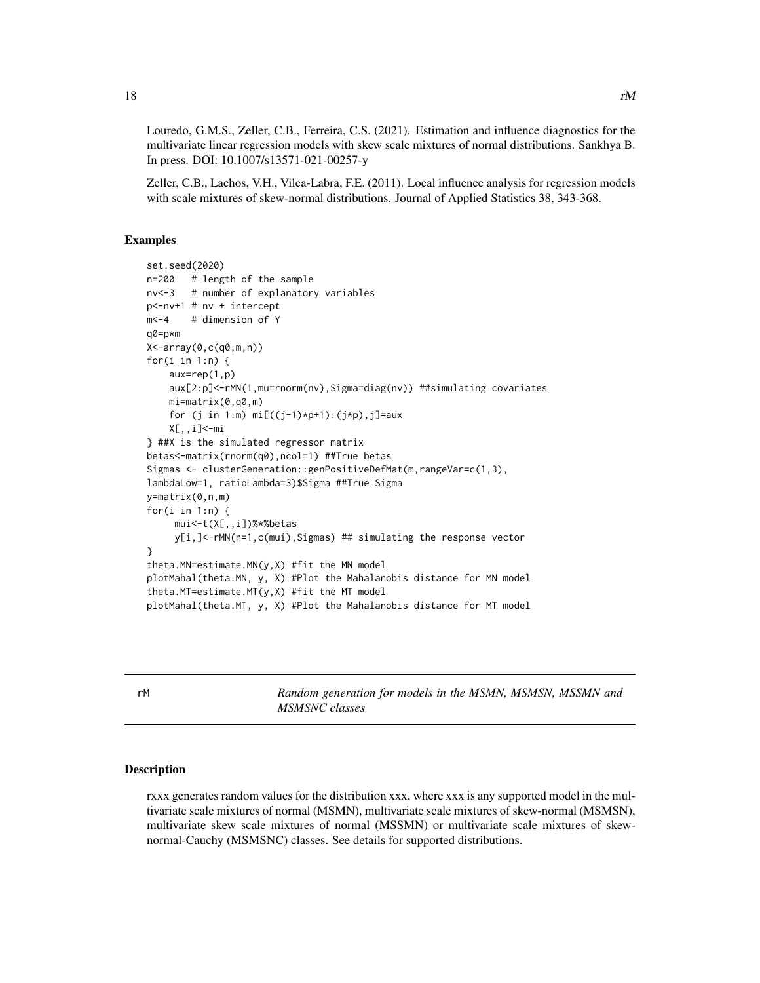Louredo, G.M.S., Zeller, C.B., Ferreira, C.S. (2021). Estimation and influence diagnostics for the multivariate linear regression models with skew scale mixtures of normal distributions. Sankhya B. In press. DOI: 10.1007/s13571-021-00257-y

Zeller, C.B., Lachos, V.H., Vilca-Labra, F.E. (2011). Local influence analysis for regression models with scale mixtures of skew-normal distributions. Journal of Applied Statistics 38, 343-368.

#### Examples

```
set.seed(2020)
n=200 # length of the sample
nv<-3 # number of explanatory variables
p<-nv+1 # nv + intercept
m<-4 # dimension of Y
q0=p*m
X<-array(0,c(q0,m,n))
for(i in 1:n) {
    aux=rep(1,p)
    aux[2:p]<-rMN(1,mu=rnorm(nv),Sigma=diag(nv)) ##simulating covariates
    mi=matrix(0,q0,m)
    for (j in 1:m) mi[(j-1)*p+1):(j*p), j]=aux
    X[,,i]<-mi
} ##X is the simulated regressor matrix
betas<-matrix(rnorm(q0),ncol=1) ##True betas
Sigmas <- clusterGeneration::genPositiveDefMat(m,rangeVar=c(1,3),
lambdaLow=1, ratioLambda=3)$Sigma ##True Sigma
y=matrix(0,n,m)
for(i in 1:n) {
     mui<-t(X[,,i])%*%betas
     y[i,]<-rMN(n=1,c(mui),Sigmas) ## simulating the response vector
}
theta.MN=estimate.MN(y,X) #fit the MN model
plotMahal(theta.MN, y, X) #Plot the Mahalanobis distance for MN model
theta.MT=estimate.MT(y,X) #fit the MT model
plotMahal(theta.MT, y, X) #Plot the Mahalanobis distance for MT model
```
rM *Random generation for models in the MSMN, MSMSN, MSSMN and MSMSNC classes*

#### Description

rxxx generates random values for the distribution xxx, where xxx is any supported model in the multivariate scale mixtures of normal (MSMN), multivariate scale mixtures of skew-normal (MSMSN), multivariate skew scale mixtures of normal (MSSMN) or multivariate scale mixtures of skewnormal-Cauchy (MSMSNC) classes. See details for supported distributions.

<span id="page-17-0"></span>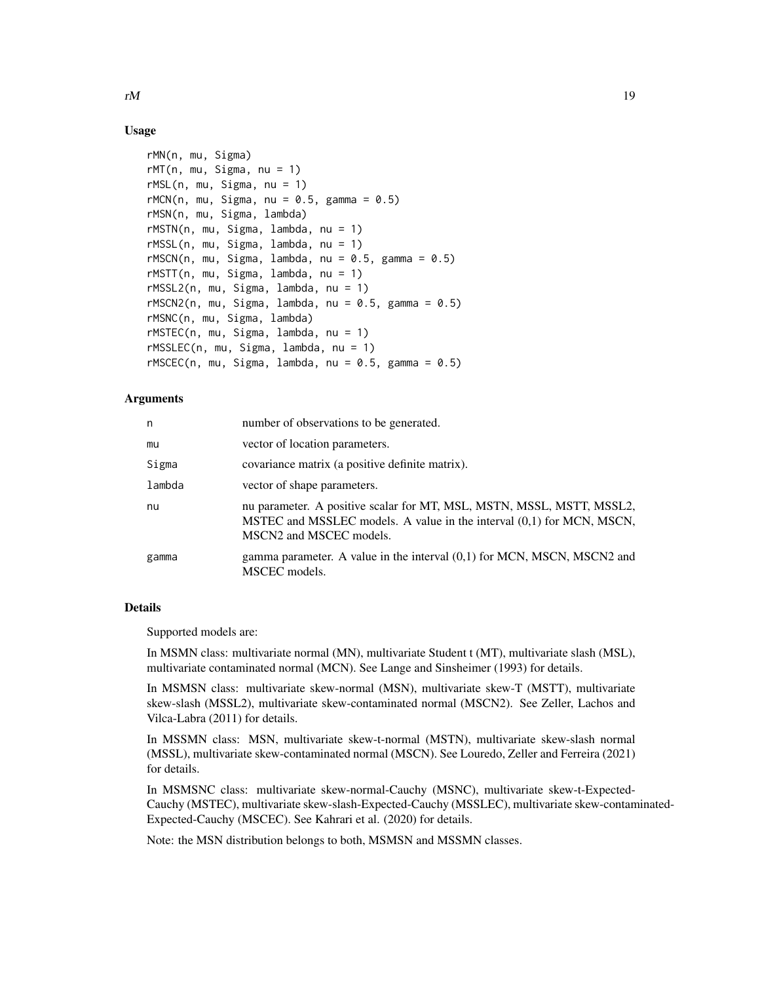#### Usage

```
rMN(n, mu, Sigma)
rMT(n, mu, Sigma, nu = 1)rMSL(n, mu, Sigma, nu = 1)rMCN(n, mu, Sigma, nu = 0.5, gamma = 0.5)rMSN(n, mu, Sigma, lambda)
rMSTN(n, mu, Sigma, lambda, nu = 1)
rMSSL(n, mu, Sigma, lambda, nu = 1)
rMSCN(n, mu, Sigma, lambda, nu = 0.5, gamma = 0.5)rMSTT(n, mu, Sigma, lambda, nu = 1)
rMSSL2(n, mu, Sigma, lambda, nu = 1)
rMSCN2(n, mu, Sigma, lambda, nu = 0.5, gamma = 0.5)rMSNC(n, mu, Sigma, lambda)
rMSTEC(n, mu, Sigma, lambda, nu = 1)
rMSSLEC(n, mu, Sigma, lambda, nu = 1)
rMSCEC(n, mu, Sigma, lambda, nu = 0.5, gamma = 0.5)
```
#### Arguments

| n      | number of observations to be generated.                                                                                                                                   |
|--------|---------------------------------------------------------------------------------------------------------------------------------------------------------------------------|
| mu     | vector of location parameters.                                                                                                                                            |
| Sigma  | covariance matrix (a positive definite matrix).                                                                                                                           |
| lambda | vector of shape parameters.                                                                                                                                               |
| nu     | nu parameter. A positive scalar for MT, MSL, MSTN, MSSL, MSTT, MSSL2,<br>MSTEC and MSSLEC models. A value in the interval (0,1) for MCN, MSCN,<br>MSCN2 and MSCEC models. |
| gamma  | gamma parameter. A value in the interval $(0,1)$ for MCN, MSCN, MSCN2 and<br>MSCEC models.                                                                                |

# Details

Supported models are:

In MSMN class: multivariate normal (MN), multivariate Student t (MT), multivariate slash (MSL), multivariate contaminated normal (MCN). See Lange and Sinsheimer (1993) for details.

In MSMSN class: multivariate skew-normal (MSN), multivariate skew-T (MSTT), multivariate skew-slash (MSSL2), multivariate skew-contaminated normal (MSCN2). See Zeller, Lachos and Vilca-Labra (2011) for details.

In MSSMN class: MSN, multivariate skew-t-normal (MSTN), multivariate skew-slash normal (MSSL), multivariate skew-contaminated normal (MSCN). See Louredo, Zeller and Ferreira (2021) for details.

In MSMSNC class: multivariate skew-normal-Cauchy (MSNC), multivariate skew-t-Expected-Cauchy (MSTEC), multivariate skew-slash-Expected-Cauchy (MSSLEC), multivariate skew-contaminated-Expected-Cauchy (MSCEC). See Kahrari et al. (2020) for details.

Note: the MSN distribution belongs to both, MSMSN and MSSMN classes.

 $rM$  19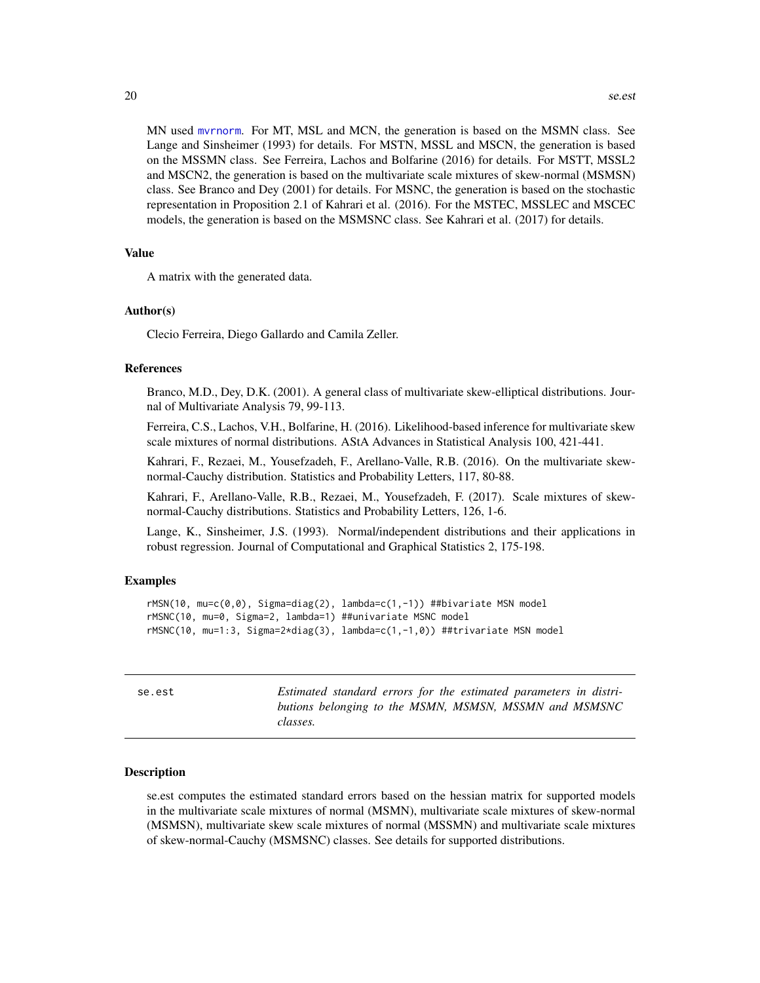<span id="page-19-0"></span>MN used [mvrnorm](#page-0-0). For MT, MSL and MCN, the generation is based on the MSMN class. See Lange and Sinsheimer (1993) for details. For MSTN, MSSL and MSCN, the generation is based on the MSSMN class. See Ferreira, Lachos and Bolfarine (2016) for details. For MSTT, MSSL2 and MSCN2, the generation is based on the multivariate scale mixtures of skew-normal (MSMSN) class. See Branco and Dey (2001) for details. For MSNC, the generation is based on the stochastic representation in Proposition 2.1 of Kahrari et al. (2016). For the MSTEC, MSSLEC and MSCEC models, the generation is based on the MSMSNC class. See Kahrari et al. (2017) for details.

#### Value

A matrix with the generated data.

#### Author(s)

Clecio Ferreira, Diego Gallardo and Camila Zeller.

#### References

Branco, M.D., Dey, D.K. (2001). A general class of multivariate skew-elliptical distributions. Journal of Multivariate Analysis 79, 99-113.

Ferreira, C.S., Lachos, V.H., Bolfarine, H. (2016). Likelihood-based inference for multivariate skew scale mixtures of normal distributions. AStA Advances in Statistical Analysis 100, 421-441.

Kahrari, F., Rezaei, M., Yousefzadeh, F., Arellano-Valle, R.B. (2016). On the multivariate skewnormal-Cauchy distribution. Statistics and Probability Letters, 117, 80-88.

Kahrari, F., Arellano-Valle, R.B., Rezaei, M., Yousefzadeh, F. (2017). Scale mixtures of skewnormal-Cauchy distributions. Statistics and Probability Letters, 126, 1-6.

Lange, K., Sinsheimer, J.S. (1993). Normal/independent distributions and their applications in robust regression. Journal of Computational and Graphical Statistics 2, 175-198.

### Examples

```
rMSN(10, mu=c(0,0), Sigma=diag(2), lambda=c(1,-1)) ##bivariate MSN model
rMSNC(10, mu=0, Sigma=2, lambda=1) ##univariate MSNC model
rMSNC(10, mu=1:3, Sigma=2*diag(3), lambda=c(1,-1,0)) ##trivariate MSN model
```
se.est *Estimated standard errors for the estimated parameters in distributions belonging to the MSMN, MSMSN, MSSMN and MSMSNC classes.*

#### Description

se.est computes the estimated standard errors based on the hessian matrix for supported models in the multivariate scale mixtures of normal (MSMN), multivariate scale mixtures of skew-normal (MSMSN), multivariate skew scale mixtures of normal (MSSMN) and multivariate scale mixtures of skew-normal-Cauchy (MSMSNC) classes. See details for supported distributions.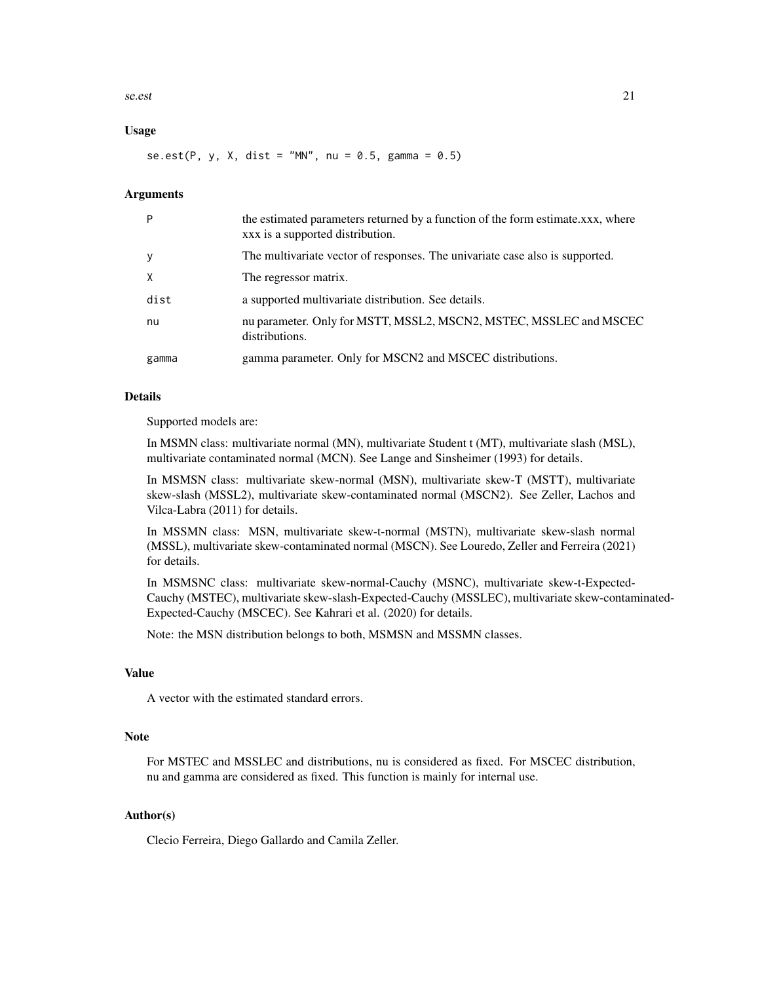se.est 21

#### Usage

se.est(P, y, X, dist = "MN", nu =  $0.5$ , gamma =  $0.5$ )

#### Arguments

| P     | the estimated parameters returned by a function of the form estimate.xxx, where<br>xxx is a supported distribution. |
|-------|---------------------------------------------------------------------------------------------------------------------|
| y     | The multivariate vector of responses. The univariate case also is supported.                                        |
| X     | The regressor matrix.                                                                                               |
| dist  | a supported multivariate distribution. See details.                                                                 |
| nu    | nu parameter. Only for MSTT, MSSL2, MSCN2, MSTEC, MSSLEC and MSCEC<br>distributions.                                |
| gamma | gamma parameter. Only for MSCN2 and MSCEC distributions.                                                            |

#### Details

Supported models are:

In MSMN class: multivariate normal (MN), multivariate Student t (MT), multivariate slash (MSL), multivariate contaminated normal (MCN). See Lange and Sinsheimer (1993) for details.

In MSMSN class: multivariate skew-normal (MSN), multivariate skew-T (MSTT), multivariate skew-slash (MSSL2), multivariate skew-contaminated normal (MSCN2). See Zeller, Lachos and Vilca-Labra (2011) for details.

In MSSMN class: MSN, multivariate skew-t-normal (MSTN), multivariate skew-slash normal (MSSL), multivariate skew-contaminated normal (MSCN). See Louredo, Zeller and Ferreira (2021) for details.

In MSMSNC class: multivariate skew-normal-Cauchy (MSNC), multivariate skew-t-Expected-Cauchy (MSTEC), multivariate skew-slash-Expected-Cauchy (MSSLEC), multivariate skew-contaminated-Expected-Cauchy (MSCEC). See Kahrari et al. (2020) for details.

Note: the MSN distribution belongs to both, MSMSN and MSSMN classes.

#### Value

A vector with the estimated standard errors.

#### Note

For MSTEC and MSSLEC and distributions, nu is considered as fixed. For MSCEC distribution, nu and gamma are considered as fixed. This function is mainly for internal use.

#### Author(s)

Clecio Ferreira, Diego Gallardo and Camila Zeller.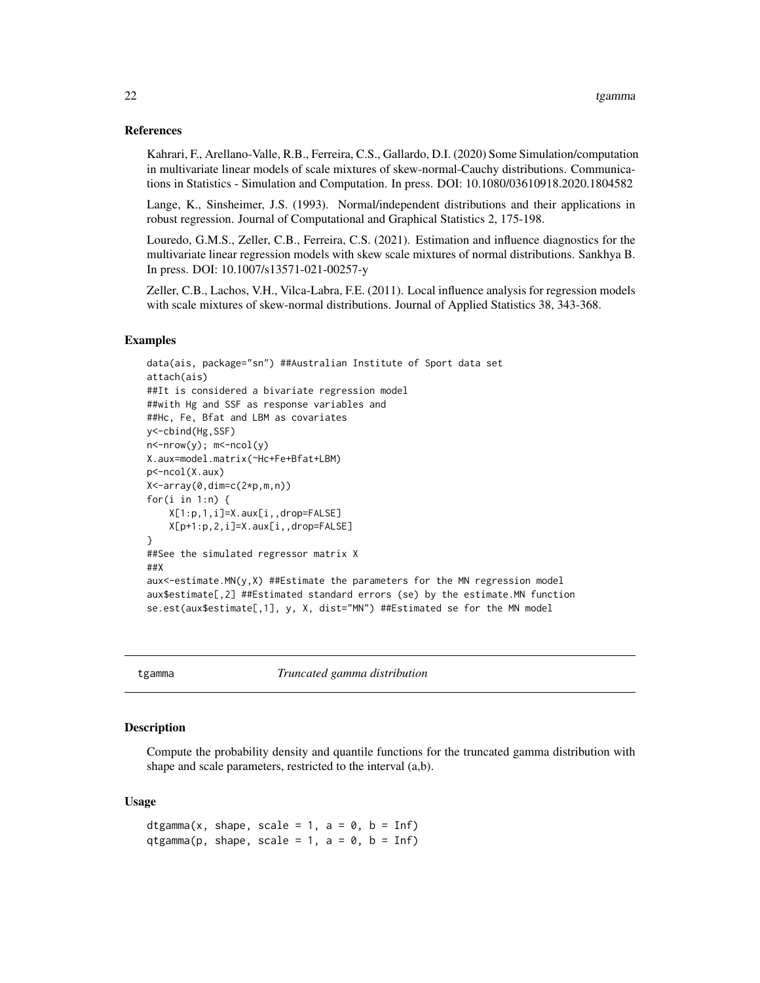#### <span id="page-21-0"></span>References

Kahrari, F., Arellano-Valle, R.B., Ferreira, C.S., Gallardo, D.I. (2020) Some Simulation/computation in multivariate linear models of scale mixtures of skew-normal-Cauchy distributions. Communications in Statistics - Simulation and Computation. In press. DOI: 10.1080/03610918.2020.1804582

Lange, K., Sinsheimer, J.S. (1993). Normal/independent distributions and their applications in robust regression. Journal of Computational and Graphical Statistics 2, 175-198.

Louredo, G.M.S., Zeller, C.B., Ferreira, C.S. (2021). Estimation and influence diagnostics for the multivariate linear regression models with skew scale mixtures of normal distributions. Sankhya B. In press. DOI: 10.1007/s13571-021-00257-y

Zeller, C.B., Lachos, V.H., Vilca-Labra, F.E. (2011). Local influence analysis for regression models with scale mixtures of skew-normal distributions. Journal of Applied Statistics 38, 343-368.

#### Examples

```
data(ais, package="sn") ##Australian Institute of Sport data set
attach(ais)
##It is considered a bivariate regression model
##with Hg and SSF as response variables and
##Hc, Fe, Bfat and LBM as covariates
y<-cbind(Hg,SSF)
n<-nrow(y); m<-ncol(y)
X.aux=model.matrix(~Hc+Fe+Bfat+LBM)
p<-ncol(X.aux)
X<-array(0,dim=c(2*p,m,n))
for(i in 1:n) {
   X[1:p,1,i]=X.aux[i,,drop=FALSE]
   X[p+1:p,2,i]=X.aux[i,,drop=FALSE]
}
##See the simulated regressor matrix X
##X
aux<-estimate.MN(y,X) ##Estimate the parameters for the MN regression model
aux$estimate[,2] ##Estimated standard errors (se) by the estimate.MN function
se.est(aux$estimate[,1], y, X, dist="MN") ##Estimated se for the MN model
```
tgamma *Truncated gamma distribution*

# **Description**

Compute the probability density and quantile functions for the truncated gamma distribution with shape and scale parameters, restricted to the interval (a,b).

#### Usage

```
dtgamma(x, shape, scale = 1, a = 0, b = Inf)
qtgamma(p, shape, scale = 1, a = 0, b = Inf)
```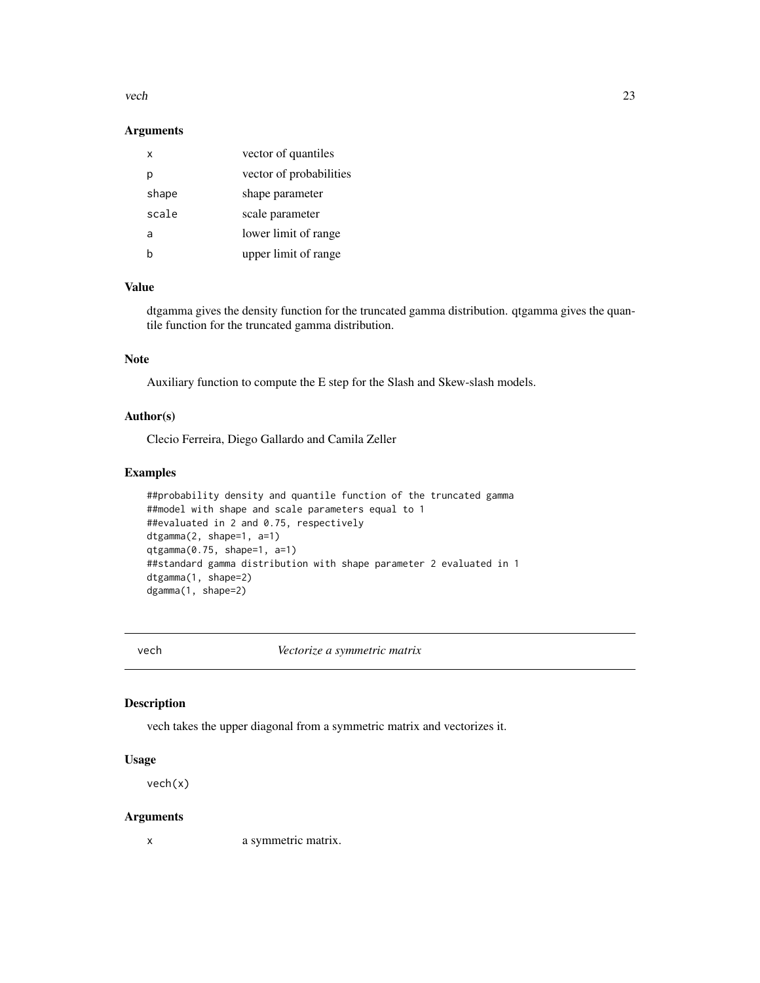#### <span id="page-22-0"></span>vech 23

#### Arguments

| x     | vector of quantiles     |
|-------|-------------------------|
| Ŋ     | vector of probabilities |
| shape | shape parameter         |
| scale | scale parameter         |
| a     | lower limit of range    |
|       | upper limit of range    |

# Value

dtgamma gives the density function for the truncated gamma distribution. qtgamma gives the quantile function for the truncated gamma distribution.

# Note

Auxiliary function to compute the E step for the Slash and Skew-slash models.

# Author(s)

Clecio Ferreira, Diego Gallardo and Camila Zeller

# Examples

```
##probability density and quantile function of the truncated gamma
##model with shape and scale parameters equal to 1
##evaluated in 2 and 0.75, respectively
dtgamma(2, shape=1, a=1)
qtgamma(0.75, shape=1, a=1)
##standard gamma distribution with shape parameter 2 evaluated in 1
dtgamma(1, shape=2)
dgamma(1, shape=2)
```
vech *Vectorize a symmetric matrix*

# Description

vech takes the upper diagonal from a symmetric matrix and vectorizes it.

#### Usage

vech(x)

#### Arguments

x a symmetric matrix.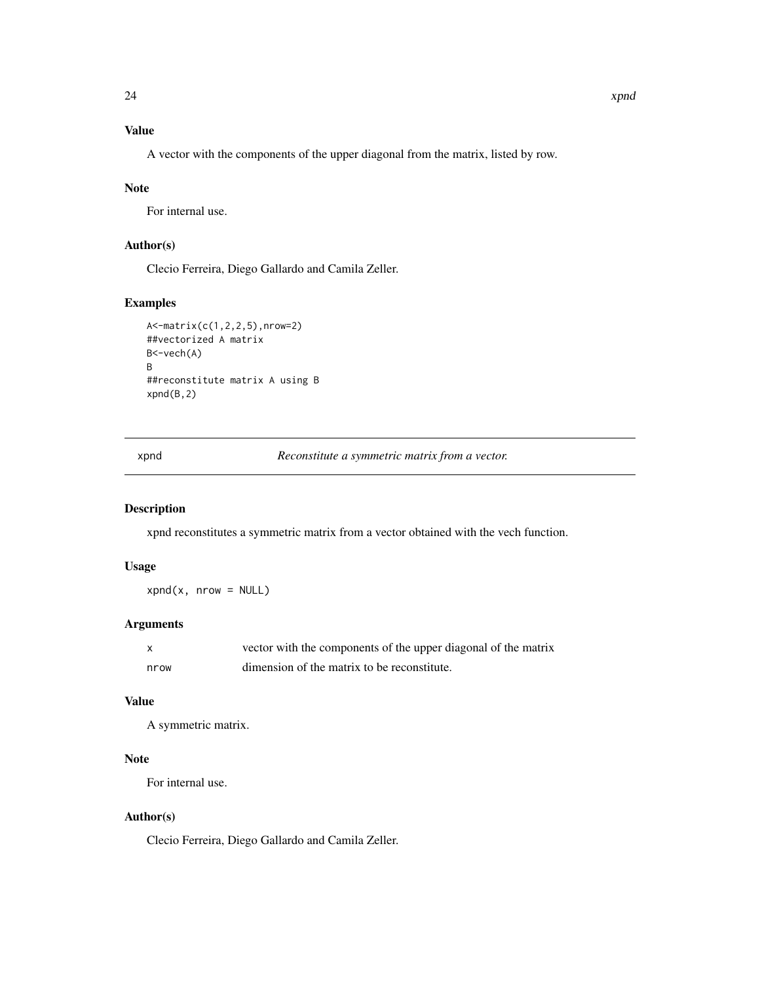<span id="page-23-0"></span>A vector with the components of the upper diagonal from the matrix, listed by row.

# Note

For internal use.

# Author(s)

Clecio Ferreira, Diego Gallardo and Camila Zeller.

# Examples

```
A<-matrix(c(1,2,2,5),nrow=2)
##vectorized A matrix
B<-vech(A)
B
##reconstitute matrix A using B
xpnd(B,2)
```
xpnd *Reconstitute a symmetric matrix from a vector.*

# Description

xpnd reconstitutes a symmetric matrix from a vector obtained with the vech function.

# Usage

 $xpnd(x, nrow = NULL)$ 

# Arguments

|      | vector with the components of the upper diagonal of the matrix |
|------|----------------------------------------------------------------|
| nrow | dimension of the matrix to be reconstitute.                    |

#### Value

A symmetric matrix.

# Note

For internal use.

# Author(s)

Clecio Ferreira, Diego Gallardo and Camila Zeller.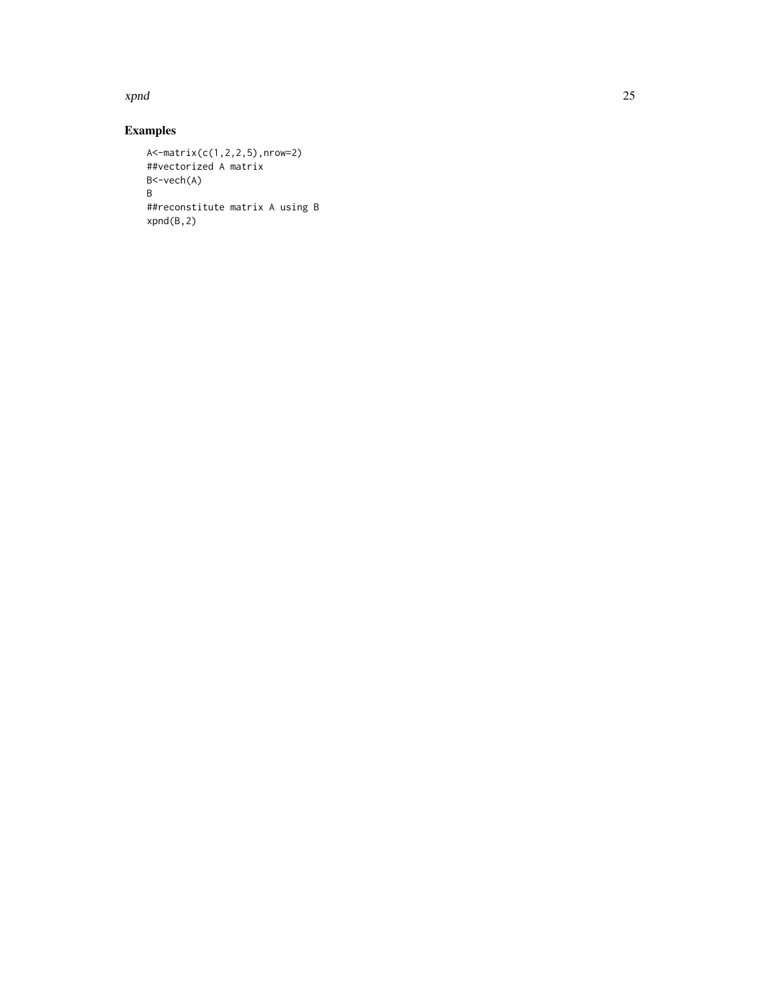xpnd 25

# Examples

```
A<-matrix(c(1,2,2,5),nrow=2)
##vectorized A matrix
B<-vech(A)
B
##reconstitute matrix A using B
xpnd(B,2)
```